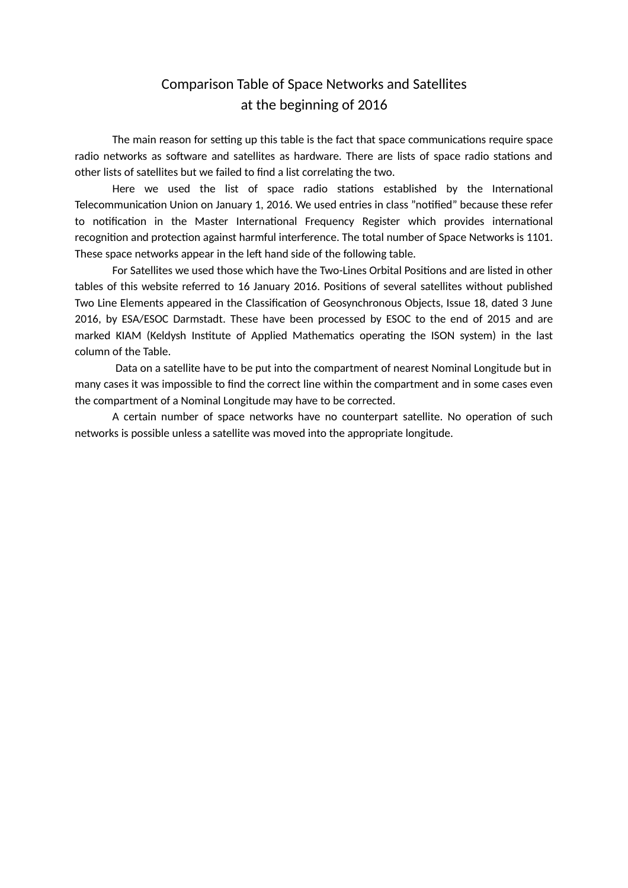## Comparison Table of Space Networks and Satellites at the beginning of 2016

The main reason for setting up this table is the fact that space communications require space radio networks as software and satellites as hardware. There are lists of space radio stations and other lists of satellites but we failed to find a list correlating the two.

Here we used the list of space radio stations established by the International Telecommunication Union on January 1, 2016. We used entries in class "notified" because these refer to notification in the Master International Frequency Register which provides international recognition and protection against harmful interference. The total number of Space Networks is 1101. These space networks appear in the left hand side of the following table.

For Satellites we used those which have the Two-Lines Orbital Positions and are listed in other tables of this website referred to 16 January 2016. Positions of several satellites without published Two Line Elements appeared in the Classification of Geosynchronous Objects, Issue 18, dated 3 June 2016, by ESA/ESOC Darmstadt. These have been processed by ESOC to the end of 2015 and are marked KIAM (Keldysh Institute of Applied Mathematics operating the ISON system) in the last column of the Table.

 Data on a satellite have to be put into the compartment of nearest Nominal Longitude but in many cases it was impossible to find the correct line within the compartment and in some cases even the compartment of a Nominal Longitude may have to be corrected.

A certain number of space networks have no counterpart satellite. No operation of such networks is possible unless a satellite was moved into the appropriate longitude.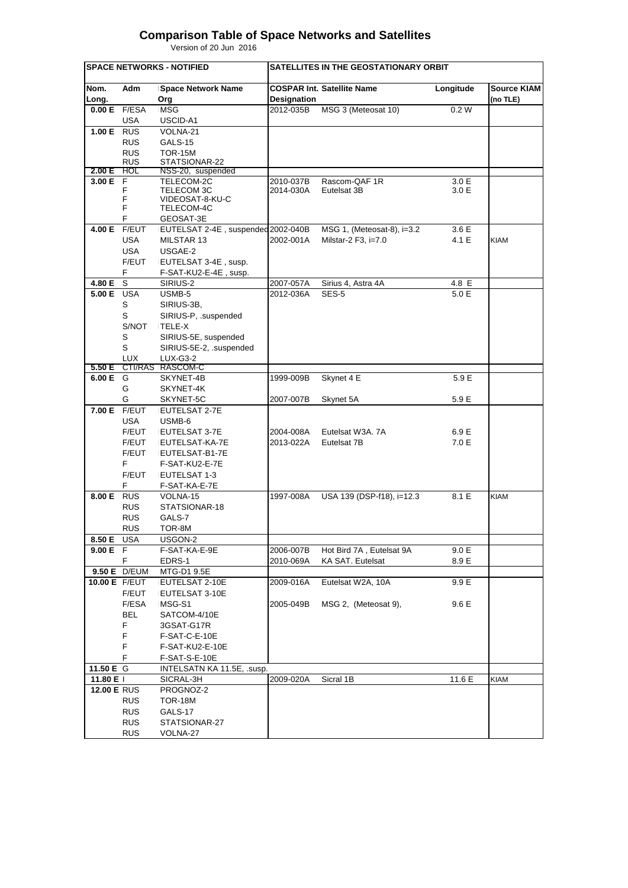## **Comparison Table of Space Networks and Satellites**

Version of 20 Jun 2016

|                    |            | <b>SPACE NETWORKS - NOTIFIED</b>    |             | SATELLITES IN THE GEOSTATIONARY ORBIT |                |                                |
|--------------------|------------|-------------------------------------|-------------|---------------------------------------|----------------|--------------------------------|
| Nom.<br>Long.      | Adm        | <b>Space Network Name</b><br>Org    | Designation | <b>COSPAR Int. Satellite Name</b>     | Longitude      | <b>Source KIAM</b><br>(no TLE) |
| 0.00 E             | F/ESA      | <b>MSG</b>                          | 2012-035B   | MSG 3 (Meteosat 10)                   | 0.2 W          |                                |
|                    | USA        | USCID-A1                            |             |                                       |                |                                |
| <b>1.00 E</b> RUS  |            | VOLNA-21                            |             |                                       |                |                                |
|                    | <b>RUS</b> | GALS-15                             |             |                                       |                |                                |
|                    | <b>RUS</b> | <b>TOR-15M</b>                      |             |                                       |                |                                |
|                    | <b>RUS</b> | STATSIONAR-22                       |             |                                       |                |                                |
| 2.00 E<br>3.00 E   | HOL<br>F   | NSS-20, suspended                   | 2010-037B   | Rascom-QAF 1R                         |                |                                |
|                    | F          | TELECOM-2C<br>TELECOM 3C            | 2014-030A   | Eutelsat 3B                           | 3.0 E<br>3.0 E |                                |
|                    | F          | VIDEOSAT-8-KU-C                     |             |                                       |                |                                |
|                    | F          | TELECOM-4C                          |             |                                       |                |                                |
|                    | F          | GEOSAT-3E                           |             |                                       |                |                                |
| 4.00 E             | F/EUT      | EUTELSAT 2-4E, suspended 2002-040B  |             | MSG 1, (Meteosat-8), i=3.2            | 3.6 E          |                                |
|                    | USA        | MILSTAR 13                          | 2002-001A   | Milstar-2 F3, i=7.0                   | 4.1 E          | <b>KIAM</b>                    |
|                    | <b>USA</b> | USGAE-2                             |             |                                       |                |                                |
|                    | F/EUT      | EUTELSAT 3-4E, susp.                |             |                                       |                |                                |
|                    | F          | F-SAT-KU2-E-4E, susp.               |             |                                       |                |                                |
| 4.80 E             | S          | SIRIUS-2                            | 2007-057A   | Sirius 4, Astra 4A                    | 4.8 E          |                                |
| <b>5.00 E</b> USA  |            | USMB-5                              | 2012-036A   | SES-5                                 | 5.0 E          |                                |
|                    | S          | SIRIUS-3B,                          |             |                                       |                |                                |
|                    | S          | SIRIUS-P, .suspended                |             |                                       |                |                                |
|                    | S/NOT      | TELE-X                              |             |                                       |                |                                |
|                    | S          | SIRIUS-5E, suspended                |             |                                       |                |                                |
|                    | S          | SIRIUS-5E-2, .suspended             |             |                                       |                |                                |
| 5.50 E             | <b>LUX</b> | <b>LUX-G3-2</b><br>CTI/RAS RASCOM-C |             |                                       |                |                                |
| 6.00 E G           |            | SKYNET-4B                           | 1999-009B   | Skynet 4 E                            | 5.9 E          |                                |
|                    | G          | SKYNET-4K                           |             |                                       |                |                                |
|                    | G          | SKYNET-5C                           | 2007-007B   | Skynet 5A                             | 5.9 E          |                                |
| 7.00 E F/EUT       |            | EUTELSAT 2-7E                       |             |                                       |                |                                |
|                    | USA        | USMB-6                              |             |                                       |                |                                |
|                    | F/EUT      | EUTELSAT 3-7E                       | 2004-008A   | Eutelsat W3A. 7A                      | 6.9 E          |                                |
|                    | F/EUT      | EUTELSAT-KA-7E                      | 2013-022A   | Eutelsat 7B                           | 7.0 E          |                                |
|                    | F/EUT      | EUTELSAT-B1-7E                      |             |                                       |                |                                |
|                    | F.         | F-SAT-KU2-E-7E                      |             |                                       |                |                                |
|                    | F/EUT      | EUTELSAT 1-3                        |             |                                       |                |                                |
|                    | F          | F-SAT-KA-E-7E                       |             |                                       |                |                                |
| 8.00 E             | <b>RUS</b> | VOLNA-15                            | 1997-008A   | USA 139 (DSP-f18), i=12.3             | 8.1 E          | <b>KIAM</b>                    |
|                    | <b>RUS</b> | STATSIONAR-18                       |             |                                       |                |                                |
|                    | <b>RUS</b> | GALS-7                              |             |                                       |                |                                |
|                    | <b>RUS</b> | TOR-8M                              |             |                                       |                |                                |
| 8.50 E USA         |            | USGON-2                             |             |                                       |                |                                |
| 9.00 E F           |            | F-SAT-KA-E-9E                       | 2006-007B   | Hot Bird 7A, Eutelsat 9A              | 9.0 E          |                                |
|                    | F.         | EDRS-1                              | 2010-069A   | KA SAT. Eutelsat                      | 8.9 E          |                                |
| 9.50 E D/EUM       |            | MTG-D1 9.5E                         |             |                                       |                |                                |
| 10.00 E F/EUT      | F/EUT      | EUTELSAT 2-10E<br>EUTELSAT 3-10E    | 2009-016A   | Eutelsat W2A, 10A                     | 9.9 E          |                                |
|                    | F/ESA      | MSG-S1                              | 2005-049B   | MSG 2, (Meteosat 9),                  | 9.6 E          |                                |
|                    | <b>BEL</b> | SATCOM-4/10E                        |             |                                       |                |                                |
|                    | F          | 3GSAT-G17R                          |             |                                       |                |                                |
|                    | F          | F-SAT-C-E-10E                       |             |                                       |                |                                |
|                    | F          | F-SAT-KU2-E-10E                     |             |                                       |                |                                |
|                    | F          | F-SAT-S-E-10E                       |             |                                       |                |                                |
| 11.50 E G          |            | INTELSATN KA 11.5E, .susp.          |             |                                       |                |                                |
| 11.80 E I          |            | SICRAL-3H                           | 2009-020A   | Sicral 1B                             | 11.6 E         | <b>KIAM</b>                    |
| <b>12.00 E RUS</b> |            | PROGNOZ-2                           |             |                                       |                |                                |
|                    | <b>RUS</b> | <b>TOR-18M</b>                      |             |                                       |                |                                |
|                    | <b>RUS</b> | GALS-17                             |             |                                       |                |                                |
|                    | <b>RUS</b> | STATSIONAR-27                       |             |                                       |                |                                |
|                    | <b>RUS</b> | VOLNA-27                            |             |                                       |                |                                |
|                    |            |                                     |             |                                       |                |                                |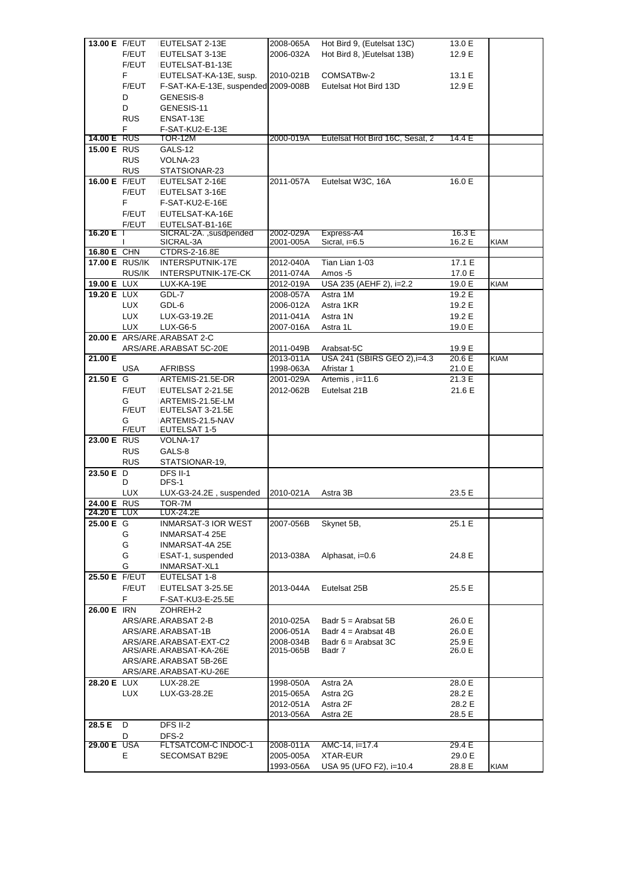|                    | 13.00 E F/EUT         | EUTELSAT 2-13E                            | 2008-065A | Hot Bird 9, (Eutelsat 13C)      | 13.0 E |             |
|--------------------|-----------------------|-------------------------------------------|-----------|---------------------------------|--------|-------------|
|                    | F/EUT                 | EUTELSAT 3-13E                            | 2006-032A | Hot Bird 8, )Eutelsat 13B)      | 12.9 E |             |
|                    | F/EUT                 | EUTELSAT-B1-13E                           |           |                                 |        |             |
|                    | F                     | EUTELSAT-KA-13E, susp.                    | 2010-021B | COMSATBw-2                      | 13.1 E |             |
|                    | F/EUT                 | F-SAT-KA-E-13E, suspended 2009-008B       |           | Eutelsat Hot Bird 13D           | 12.9 E |             |
|                    | D                     | GENESIS-8                                 |           |                                 |        |             |
|                    | D                     | GENESIS-11                                |           |                                 |        |             |
|                    | <b>RUS</b>            | ENSAT-13E                                 |           |                                 |        |             |
|                    | F                     | F-SAT-KU2-E-13E                           |           |                                 |        |             |
| <b>14.00 E RUS</b> |                       | TOR-12M                                   | 2000-019A | Eutelsat Hot Bird 16C, Sesat, 2 | 14.4E  |             |
| 15.00 E RUS        |                       | GALS-12                                   |           |                                 |        |             |
|                    | <b>RUS</b>            | VOLNA-23                                  |           |                                 |        |             |
|                    | <b>RUS</b>            | STATSIONAR-23                             |           |                                 |        |             |
| 16.00 E F/EUT      |                       | EUTELSAT 2-16E                            | 2011-057A | Eutelsat W3C, 16A               | 16.0 E |             |
|                    | F/EUT                 | EUTELSAT 3-16E                            |           |                                 |        |             |
|                    | F                     | F-SAT-KU2-E-16E                           |           |                                 |        |             |
|                    | F/EUT                 | EUTELSAT-KA-16E                           |           |                                 |        |             |
| 16.20 E T          | F/EUT                 | EUTELSAT-B1-16E<br>SICRAL-2A., susdpended | 2002-029A | Express-A4                      | 16.3 E |             |
|                    | $\mathsf{I}$          | SICRAL-3A                                 | 2001-005A | Sicral, i=6.5                   | 16.2 E | <b>KIAM</b> |
| 16.80 E CHN        |                       | CTDRS-2-16.8E                             |           |                                 |        |             |
|                    | <b>17.00 E RUS/IK</b> | INTERSPUTNIK-17E                          | 2012-040A | Tian Lian 1-03                  | 17.1 E |             |
|                    | RUS/IK                | INTERSPUTNIK-17E-CK                       | 2011-074A | Amos -5                         | 17.0 E |             |
| 19.00 E LUX        |                       | LUX-KA-19E                                | 2012-019A | USA 235 (AEHF 2), i=2.2         | 19.0 E | <b>KIAM</b> |
| <b>19.20 E LUX</b> |                       | GDL-7                                     | 2008-057A | Astra 1M                        | 19.2 E |             |
|                    | LUX.                  | GDL-6                                     | 2006-012A | Astra 1KR                       | 19.2 E |             |
|                    | <b>LUX</b>            | LUX-G3-19.2E                              | 2011-041A | Astra 1N                        | 19.2 E |             |
|                    | <b>LUX</b>            | LUX-G6-5                                  | 2007-016A | Astra 1L                        | 19.0 E |             |
|                    |                       | 20.00 E ARS/ARE ARABSAT 2-C               |           |                                 |        |             |
|                    |                       | ARS/ARE ARABSAT 5C-20E                    | 2011-049B | Arabsat-5C                      | 19.9 E |             |
| 21.00 E            |                       |                                           | 2013-011A | USA 241 (SBIRS GEO 2), i=4.3    | 20.6 E | <b>KIAM</b> |
|                    | USA                   | <b>AFRIBSS</b>                            | 1998-063A | Afristar 1                      | 21.0 E |             |
| 21.50 E G          |                       | ARTEMIS-21.5E-DR                          | 2001-029A | Artemis, i=11.6                 | 21.3 E |             |
|                    | F/EUT                 | EUTELSAT 2-21.5E                          | 2012-062B | Eutelsat 21B                    | 21.6 E |             |
|                    | G                     | ARTEMIS-21.5E-LM                          |           |                                 |        |             |
|                    | F/EUT                 | EUTELSAT 3-21.5E                          |           |                                 |        |             |
|                    | G<br>F/EUT            | ARTEMIS-21.5-NAV                          |           |                                 |        |             |
| 23.00 E RUS        |                       | EUTELSAT 1-5<br>VOLNA-17                  |           |                                 |        |             |
|                    | <b>RUS</b>            | GALS-8                                    |           |                                 |        |             |
|                    |                       |                                           |           |                                 |        |             |
|                    |                       |                                           |           |                                 |        |             |
|                    | <b>RUS</b>            | STATSIONAR-19,                            |           |                                 |        |             |
| 23.50 E D          | D                     | <b>DFS II-1</b><br>DFS-1                  |           |                                 |        |             |
|                    | <b>LUX</b>            | LUX-G3-24.2E, suspended                   | 2010-021A | Astra 3B                        | 23.5 E |             |
| 24.00 E RUS        |                       | TOR-7M                                    |           |                                 |        |             |
| 24.20 E LUX        |                       | LUX-24.2E                                 |           |                                 |        |             |
| 25.00 E G          |                       | INMARSAT-3 IOR WEST                       | 2007-056B | Skynet 5B,                      | 25.1 E |             |
|                    | G                     | INMARSAT-4 25E                            |           |                                 |        |             |
|                    | G                     | INMARSAT-4A 25E                           |           |                                 |        |             |
|                    | G                     | ESAT-1, suspended                         | 2013-038A | Alphasat, i=0.6                 | 24.8 E |             |
|                    | G                     | INMARSAT-XL1                              |           |                                 |        |             |
| 25.50 E F/EUT      |                       | EUTELSAT 1-8                              |           |                                 |        |             |
|                    | F/EUT                 | EUTELSAT 3-25.5E                          | 2013-044A | Eutelsat 25B                    | 25.5 E |             |
|                    | F                     | F-SAT-KU3-E-25.5E                         |           |                                 |        |             |
| 26.00 E IRN        |                       | ZOHREH-2                                  |           |                                 |        |             |
|                    |                       | ARS/ARE ARABSAT 2-B                       | 2010-025A | Badr $5 =$ Arabsat $5B$         | 26.0 E |             |
|                    |                       | ARS/ARE ARABSAT-1B                        | 2006-051A | Badr $4$ = Arabsat 4B           | 26.0 E |             |
|                    |                       | ARS/ARE ARABSAT-EXT-C2                    | 2008-034B | Badr $6 =$ Arabsat 3C           | 25.9 E |             |
|                    |                       | ARS/ARE ARABSAT-KA-26E                    | 2015-065B | Badr 7                          | 26.0 E |             |
|                    |                       | ARS/ARE ARABSAT 5B-26E                    |           |                                 |        |             |
|                    |                       | ARS/ARE ARABSAT-KU-26E                    |           |                                 |        |             |
| <b>28.20 E LUX</b> |                       | LUX-28.2E                                 | 1998-050A | Astra 2A                        | 28.0 E |             |
|                    | LUX.                  | LUX-G3-28.2E                              | 2015-065A | Astra 2G                        | 28.2 E |             |
|                    |                       |                                           | 2012-051A | Astra 2F                        | 28.2 E |             |
|                    |                       |                                           | 2013-056A | Astra 2E                        | 28.5 E |             |
| 28.5 E             | D<br>D                | DFS II-2<br>DFS-2                         |           |                                 |        |             |
| 29.00 E USA        |                       | FLTSATCOM-C INDOC-1                       | 2008-011A | AMC-14, i=17.4                  | 29.4 E |             |
|                    | E                     | SECOMSAT B29E                             | 2005-005A | XTAR-EUR                        | 29.0 E |             |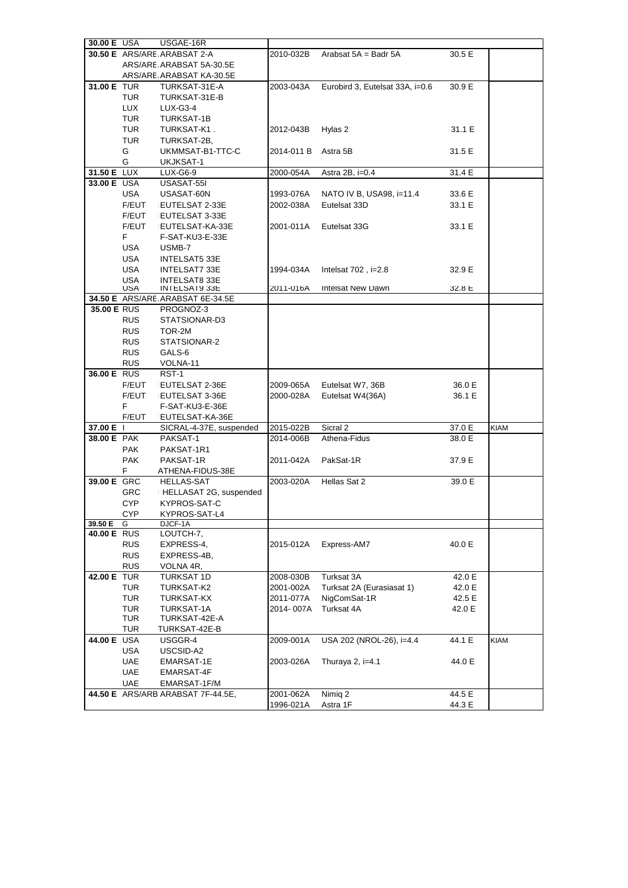|             | 30.00 E USA | USGAE-16R                          |                        |                                 |                  |             |
|-------------|-------------|------------------------------------|------------------------|---------------------------------|------------------|-------------|
|             |             | <b>30.50 E</b> ARS/ARE ARABSAT 2-A | 2010-032B              | Arabsat 5A = Badr 5A            | 30.5 E           |             |
|             |             | ARS/ARE ARABSAT 5A-30.5E           |                        |                                 |                  |             |
|             |             | ARS/ARE ARABSAT KA-30.5E           |                        |                                 |                  |             |
| 31.00 E TUR |             | TURKSAT-31E-A                      | 2003-043A              | Eurobird 3, Eutelsat 33A, i=0.6 | 30.9 E           |             |
|             | TUR         | TURKSAT-31E-B                      |                        |                                 |                  |             |
|             | <b>LUX</b>  | LUX-G3-4                           |                        |                                 |                  |             |
|             | TUR         | TURKSAT-1B                         |                        |                                 |                  |             |
|             | TUR         | TURKSAT-K1.                        | 2012-043B              | Hylas 2                         | 31.1 E           |             |
|             | <b>TUR</b>  | TURKSAT-2B,                        |                        |                                 |                  |             |
|             |             |                                    |                        |                                 |                  |             |
|             | G           | UKMMSAT-B1-TTC-C                   | 2014-011 B             | Astra 5B                        | 31.5 E           |             |
|             | G           | UKJKSAT-1                          |                        |                                 |                  |             |
| 31.50 E LUX |             | LUX-G6-9                           | 2000-054A              | Astra 2B, i=0.4                 | 31.4 E           |             |
| 33.00 E USA |             | USASAT-55I                         |                        |                                 |                  |             |
|             | USA         | USASAT-60N                         | 1993-076A              | NATO IV B, USA98, i=11.4        | 33.6 E           |             |
|             | F/EUT       | EUTELSAT 2-33E                     | 2002-038A              | Eutelsat 33D                    | 33.1 E           |             |
|             | F/EUT       | EUTELSAT 3-33E                     |                        |                                 |                  |             |
|             | F/EUT       | EUTELSAT-KA-33E                    | 2001-011A              | Eutelsat 33G                    | 33.1 E           |             |
|             | F           | F-SAT-KU3-E-33E                    |                        |                                 |                  |             |
|             | USA         | USMB-7                             |                        |                                 |                  |             |
|             | USA         | <b>INTELSAT5 33E</b>               |                        |                                 |                  |             |
|             | USA         | INTELSAT7 33E                      | 1994-034A              | Intelsat $702$ , i= $2.8$       | 32.9 E           |             |
|             | USA         | <b>INTELSAT8 33E</b>               |                        |                                 |                  |             |
|             | <b>USA</b>  | INTELSAT933E                       | 2011-016A              | Intelsat New Dawn               | 32.8 L           |             |
|             |             | 34.50 E ARS/ARE ARABSAT 6E-34.5E   |                        |                                 |                  |             |
| 35.00 E RUS |             | PROGNOZ-3                          |                        |                                 |                  |             |
|             | <b>RUS</b>  | STATSIONAR-D3                      |                        |                                 |                  |             |
|             | <b>RUS</b>  | TOR-2M                             |                        |                                 |                  |             |
|             | <b>RUS</b>  | STATSIONAR-2                       |                        |                                 |                  |             |
|             | <b>RUS</b>  | GALS-6                             |                        |                                 |                  |             |
|             | <b>RUS</b>  | VOLNA-11                           |                        |                                 |                  |             |
| 36.00 E RUS |             | RST-1                              |                        |                                 |                  |             |
|             | F/EUT       | EUTELSAT 2-36E                     | 2009-065A              | Eutelsat W7, 36B                | 36.0 E           |             |
|             | F/EUT       |                                    |                        |                                 |                  |             |
|             |             |                                    |                        |                                 |                  |             |
|             |             | EUTELSAT 3-36E                     | 2000-028A              | Eutelsat W4(36A)                | 36.1 E           |             |
|             | F.          | F-SAT-KU3-E-36E                    |                        |                                 |                  |             |
|             | F/EUT       | EUTELSAT-KA-36E                    |                        |                                 |                  |             |
| 37.00 E     |             | SICRAL-4-37E, suspended            | 2015-022B              | Sicral 2                        | 37.0 E           | <b>KIAM</b> |
| 38.00 E PAK |             | PAKSAT-1                           | 2014-006B              | Athena-Fidus                    | 38.0 E           |             |
|             | <b>PAK</b>  | PAKSAT-1R1                         |                        |                                 |                  |             |
|             | <b>PAK</b>  | PAKSAT-1R                          | 2011-042A              | PakSat-1R                       | 37.9 E           |             |
|             | F.          | ATHENA-FIDUS-38E                   |                        |                                 |                  |             |
| 39.00 E GRC |             | HELLAS-SAT                         | 2003-020A              | Hellas Sat 2                    | 39.0 E           |             |
|             | GRC         | HELLASAT 2G, suspended             |                        |                                 |                  |             |
|             | <b>CYP</b>  | KYPROS-SAT-C                       |                        |                                 |                  |             |
|             | CYP.        | KYPROS-SAT-L4                      |                        |                                 |                  |             |
| 39.50 E     | G           | DJCF-1A                            |                        |                                 |                  |             |
| 40.00 E RUS |             | LOUTCH-7,                          |                        |                                 |                  |             |
|             | <b>RUS</b>  | EXPRESS-4,                         | 2015-012A              | Express-AM7                     | 40.0 E           |             |
|             | <b>RUS</b>  | EXPRESS-4B,                        |                        |                                 |                  |             |
|             | <b>RUS</b>  | VOLNA 4R,                          |                        |                                 |                  |             |
| 42.00 E TUR |             | TURKSAT 1D                         | 2008-030B              | Turksat 3A                      | 42.0 E           |             |
|             | TUR         | TURKSAT-K2                         | 2001-002A              | Turksat 2A (Eurasiasat 1)       | 42.0 E           |             |
|             | <b>TUR</b>  | TURKSAT-KX                         | 2011-077A              | NigComSat-1R                    | 42.5 E           |             |
|             | <b>TUR</b>  | TURKSAT-1A                         | 2014-007A              | Turksat 4A                      | 42.0 E           |             |
|             | TUR         | TURKSAT-42E-A                      |                        |                                 |                  |             |
|             | TUR         | TURKSAT-42E-B                      |                        |                                 |                  |             |
| 44.00 E USA |             | USGGR-4                            | 2009-001A              | USA 202 (NROL-26), i=4.4        | 44.1 E           | <b>KIAM</b> |
|             | USA         | USCSID-A2                          |                        |                                 |                  |             |
|             |             |                                    |                        |                                 |                  |             |
|             | UAE         | EMARSAT-1E                         | 2003-026A              | Thuraya 2, i=4.1                | 44.0 E           |             |
|             | UAE         | EMARSAT-4F                         |                        |                                 |                  |             |
|             | <b>UAE</b>  | EMARSAT-1F/M                       |                        |                                 |                  |             |
|             |             | 44.50 E ARS/ARB ARABSAT 7F-44.5E,  | 2001-062A<br>1996-021A | Nimig 2<br>Astra 1F             | 44.5 E<br>44.3 E |             |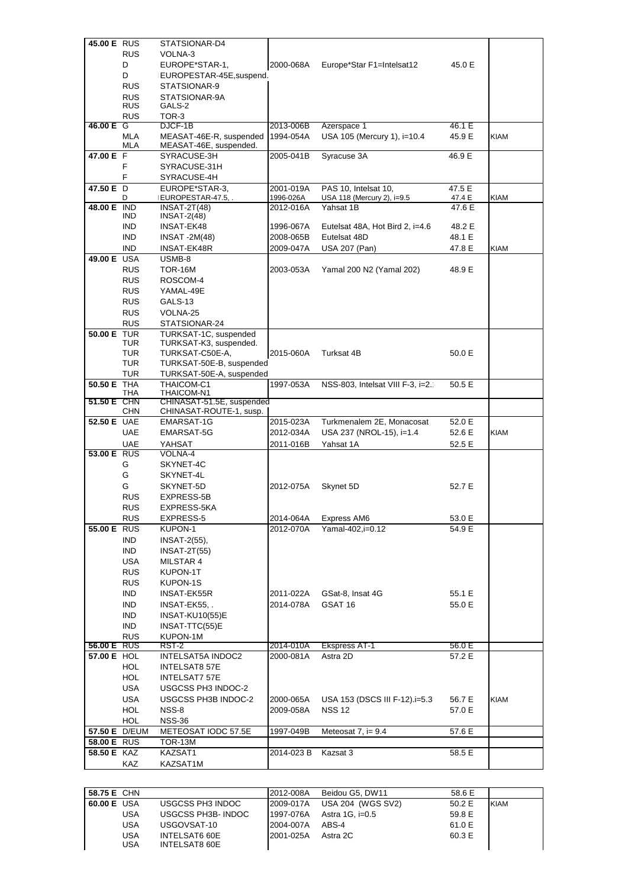| 45.00 E RUS | <b>RUS</b>               | STATSIONAR-D4<br>VOLNA-3                             |                        |                                                    |                  |             |
|-------------|--------------------------|------------------------------------------------------|------------------------|----------------------------------------------------|------------------|-------------|
|             |                          |                                                      |                        |                                                    |                  |             |
|             | D<br>D                   | EUROPE*STAR-1,                                       | 2000-068A              | Europe*Star F1=Intelsat12                          | 45.0 E           |             |
|             | <b>RUS</b>               | EUROPESTAR-45E, suspend.<br>STATSIONAR-9             |                        |                                                    |                  |             |
|             | <b>RUS</b>               | STATSIONAR-9A                                        |                        |                                                    |                  |             |
|             | <b>RUS</b>               | GALS-2                                               |                        |                                                    |                  |             |
|             | <b>RUS</b>               | TOR-3                                                |                        |                                                    |                  |             |
| 46.00 E G   |                          | DJCF-1B                                              | 2013-006B              | Azerspace 1                                        | 46.1 E           |             |
|             | MLA                      | MEASAT-46E-R, suspended                              | 1994-054A              | USA 105 (Mercury 1), i=10.4                        | 45.9 E           | <b>KIAM</b> |
|             | MLA                      | MEASAT-46E, suspended.                               |                        |                                                    |                  |             |
| 47.00 E F   |                          | SYRACUSE-3H                                          | 2005-041B              | Syracuse 3A                                        | 46.9 E           |             |
|             | F                        | SYRACUSE-31H                                         |                        |                                                    |                  |             |
|             | F                        | SYRACUSE-4H                                          |                        |                                                    |                  |             |
| 47.50 E D   | D                        | EUROPE*STAR-3.<br>EUROPESTAR-47.5,.                  | 2001-019A<br>1996-026A | PAS 10, Intelsat 10,<br>USA 118 (Mercury 2), i=9.5 | 47.5 E<br>47.4 E | <b>KIAM</b> |
| 48.00 E IND |                          | $INSAT-2T(48)$                                       | 2012-016A              | Yahsat 1B                                          | 47.6 E           |             |
|             | IND                      | <b>INSAT-2(48)</b>                                   |                        |                                                    |                  |             |
|             | <b>IND</b>               | INSAT-EK48                                           | 1996-067A              | Eutelsat 48A, Hot Bird 2, i=4.6                    | 48.2 E           |             |
|             | IND.                     | <b>INSAT -2M(48)</b>                                 | 2008-065B              | Eutelsat 48D                                       | 48.1 E           |             |
|             | <b>IND</b>               | <b>INSAT-EK48R</b>                                   | 2009-047A              | USA 207 (Pan)                                      | 47.8 E           | <b>KIAM</b> |
| 49.00 E USA |                          | USMB-8                                               |                        |                                                    |                  |             |
|             | <b>RUS</b>               | TOR-16M                                              | 2003-053A              | Yamal 200 N2 (Yamal 202)                           | 48.9 E           |             |
|             | <b>RUS</b>               | ROSCOM-4                                             |                        |                                                    |                  |             |
|             | <b>RUS</b>               | YAMAL-49E                                            |                        |                                                    |                  |             |
|             | <b>RUS</b>               | GALS-13                                              |                        |                                                    |                  |             |
|             | <b>RUS</b>               | VOLNA-25                                             |                        |                                                    |                  |             |
|             | <b>RUS</b>               | STATSIONAR-24                                        |                        |                                                    |                  |             |
| 50.00 E TUR | TUR                      | TURKSAT-1C, suspended<br>TURKSAT-K3, suspended.      |                        |                                                    |                  |             |
|             | <b>TUR</b>               | TURKSAT-C50E-A,                                      | 2015-060A              | Turksat 4B                                         | 50.0 E           |             |
|             | <b>TUR</b>               | TURKSAT-50E-B, suspended                             |                        |                                                    |                  |             |
|             | <b>TUR</b>               | TURKSAT-50E-A, suspended                             |                        |                                                    |                  |             |
| 50.50 E THA |                          | THAICOM-C1                                           | 1997-053A              | NSS-803, Intelsat VIII F-3, i=2.                   | 50.5 E           |             |
|             | THA                      | THAICOM-N1                                           |                        |                                                    |                  |             |
| 51.50 E CHN | <b>CHN</b>               | CHINASAT-51.5E, suspended<br>CHINASAT-ROUTE-1, susp. |                        |                                                    |                  |             |
| 52.50 E UAE |                          | <b>EMARSAT-1G</b>                                    | 2015-023A              | Turkmenalem 2E, Monacosat                          | 52.0 E           |             |
|             | <b>UAE</b>               | EMARSAT-5G                                           | 2012-034A              | USA 237 (NROL-15), i=1.4                           | 52.6 E           | KIAM        |
|             | <b>UAE</b>               | YAHSAT                                               | 2011-016B              | Yahsat 1A                                          | 52.5 E           |             |
| 53.00 E RUS |                          | VOLNA-4                                              |                        |                                                    |                  |             |
|             | G                        | SKYNET-4C                                            |                        |                                                    |                  |             |
|             | G                        | SKYNET-4L                                            |                        |                                                    |                  |             |
|             | G                        | SKYNET-5D                                            | 2012-075A              | Skynet 5D                                          | 52.7 E           |             |
|             | <b>RUS</b>               | EXPRESS-5B                                           |                        |                                                    |                  |             |
|             | <b>RUS</b>               | EXPRESS-5KA                                          |                        |                                                    |                  |             |
|             | <b>RUS</b>               | EXPRESS-5                                            | 2014-064A              | Express AM6                                        | 53.0 E           |             |
| 55.00 E RUS |                          | KUPON-1                                              | 2012-070A              | Yamal-402,i=0.12                                   | 54.9 E           |             |
|             | IND.                     | $INSAT-2(55)$ ,                                      |                        |                                                    |                  |             |
|             | <b>IND</b>               | $INSAT-2T(55)$                                       |                        |                                                    |                  |             |
|             | <b>USA</b><br><b>RUS</b> | MILSTAR 4<br>KUPON-1T                                |                        |                                                    |                  |             |
|             | <b>RUS</b>               | KUPON-1S                                             |                        |                                                    |                  |             |
|             | <b>IND</b>               | INSAT-EK55R                                          | 2011-022A              | GSat-8, Insat 4G                                   | 55.1 E           |             |
|             | <b>IND</b>               | INSAT-EK55,.                                         | 2014-078A              | GSAT 16                                            | 55.0 E           |             |
|             | <b>IND</b>               | <b>INSAT-KU10(55)E</b>                               |                        |                                                    |                  |             |
|             | <b>IND</b>               | INSAT-TTC(55)E                                       |                        |                                                    |                  |             |
|             | <b>RUS</b>               | KUPON-1M                                             |                        |                                                    |                  |             |
| 56.00 E RUS |                          | RST-2                                                | 2014-010A              | <b>Ekspress AT-1</b>                               | 56.0 E           |             |
| 57.00 E HOL |                          | INTELSAT5A INDOC2                                    | 2000-081A              | Astra 2D                                           | 57.2 E           |             |
|             | <b>HOL</b>               | <b>INTELSAT8 57E</b>                                 |                        |                                                    |                  |             |
|             | <b>HOL</b>               | <b>INTELSAT7 57E</b>                                 |                        |                                                    |                  |             |
|             | <b>USA</b>               | USGCSS PH3 INDOC-2                                   |                        |                                                    |                  |             |
|             | USA                      | USGCSS PH3B INDOC-2                                  | 2000-065A              | USA 153 (DSCS III F-12).i=5.3                      | 56.7 E           | KIAM        |
|             | <b>HOL</b>               | NSS-8                                                | 2009-058A              | <b>NSS 12</b>                                      | 57.0 E           |             |
|             | <b>HOL</b>               | <b>NSS-36</b>                                        |                        |                                                    |                  |             |
|             | 57.50 E D/EUM            | METEOSAT IODC 57.5E                                  | 1997-049B              | Meteosat 7, $i = 9.4$                              | 57.6 E           |             |
| 58.00 E RUS |                          | TOR-13M                                              |                        |                                                    |                  |             |
| 58.50 E KAZ |                          | KAZSAT1<br>KAZSAT1M                                  | 2014-023 B             | Kazsat 3                                           | 58.5 E           |             |
|             | KAZ                      |                                                      |                        |                                                    |                  |             |

| 58.75 E CHN |                   | 2012-008A | Beidou G5, DW11   | 58.6 E |             |
|-------------|-------------------|-----------|-------------------|--------|-------------|
| 60.00 E USA | USGCSS PH3 INDOC  | 2009-017A | USA 204 (WGS SV2) | 50.2 E | <b>KIAM</b> |
| <b>USA</b>  | USGCSS PH3B-INDOC | 1997-076A | Astra $1G.$ i=0.5 | 59.8 E |             |
| <b>USA</b>  | USGOVSAT-10       | 2004-007A | ABS-4             | 61.0 E |             |
| <b>USA</b>  | INTELSAT6 60E     | 2001-025A | Astra 2C          | 60.3 E |             |
| <b>USA</b>  | INTELSAT8 60E     |           |                   |        |             |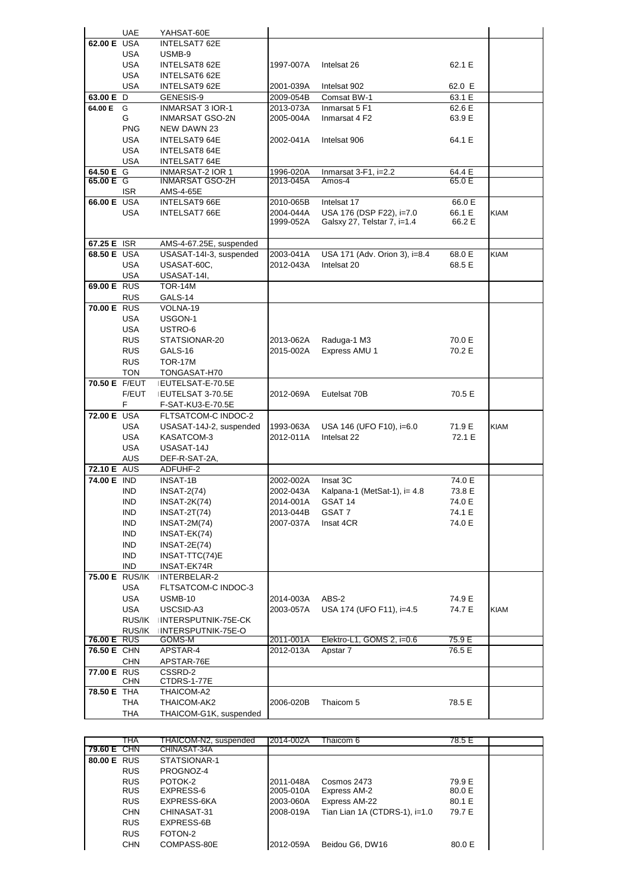|                    | <b>UAE</b>               | YAHSAT-60E                                   |                        |                                          |                  |             |
|--------------------|--------------------------|----------------------------------------------|------------------------|------------------------------------------|------------------|-------------|
| 62.00 E USA        |                          | <b>INTELSAT7 62E</b>                         |                        |                                          |                  |             |
|                    | USA                      | USMB-9                                       |                        |                                          |                  |             |
|                    | <b>USA</b>               | <b>INTELSAT8 62E</b>                         | 1997-007A              | Intelsat 26                              | 62.1 E           |             |
|                    | <b>USA</b>               | INTELSAT6 62E                                |                        |                                          |                  |             |
|                    | <b>USA</b>               | <b>INTELSAT9 62E</b>                         | 2001-039A              | Intelsat 902                             | 62.0 E           |             |
| 63.00 E D          |                          | GENESIS-9                                    | 2009-054B              | Comsat BW-1                              | 63.1 E           |             |
| 64.00 E G          |                          | <b>INMARSAT 3 IOR-1</b>                      | 2013-073A              | Inmarsat 5 F1                            | 62.6 E           |             |
|                    | G                        | INMARSAT GSO-2N                              | 2005-004A              | Inmarsat 4 F2                            | 63.9 E           |             |
|                    | <b>PNG</b>               | NEW DAWN 23                                  |                        |                                          |                  |             |
|                    | USA                      | <b>INTELSAT9 64E</b>                         | 2002-041A              | Intelsat 906                             | 64.1 E           |             |
|                    | <b>USA</b><br>USA        | <b>INTELSAT8 64E</b><br><b>INTELSAT7 64E</b> |                        |                                          |                  |             |
| 64.50 E G          |                          | <b>INMARSAT-2 IOR 1</b>                      | 1996-020A              | Inmarsat $3-F1$ , i=2.2                  | 64.4 E           |             |
| 65.00 E G          |                          | <b>INMARSAT GSO-2H</b>                       | 2013-045A              | Amos-4                                   | 65.0 E           |             |
|                    | ISR.                     | AMS-4-65E                                    |                        |                                          |                  |             |
| 66.00 E USA        |                          | <b>INTELSAT9 66E</b>                         | 2010-065B              | Intelsat 17                              | 66.0 E           |             |
|                    | <b>USA</b>               | INTELSAT7 66E                                | 2004-044A              | USA 176 (DSP F22), i=7.0                 | 66.1 E           | <b>KIAM</b> |
|                    |                          |                                              | 1999-052A              | Galsxy 27, Telstar 7, i=1.4              | 66.2 E           |             |
|                    |                          |                                              |                        |                                          |                  |             |
| 67.25 E ISR        |                          | AMS-4-67.25E, suspended                      |                        |                                          |                  |             |
| 68.50 E USA        |                          | USASAT-14I-3, suspended                      | 2003-041A              | USA 171 (Adv. Orion 3), i=8.4            | 68.0 E           | <b>KIAM</b> |
|                    | <b>USA</b>               | USASAT-60C.                                  | 2012-043A              | Intelsat 20                              | 68.5 E           |             |
|                    | USA                      | USASAT-14I,                                  |                        |                                          |                  |             |
| 69.00 E RUS        | <b>RUS</b>               | <b>TOR-14M</b><br>GALS-14                    |                        |                                          |                  |             |
| 70.00 E RUS        |                          | VOLNA-19                                     |                        |                                          |                  |             |
|                    | USA                      | USGON-1                                      |                        |                                          |                  |             |
|                    | <b>USA</b>               | USTRO-6                                      |                        |                                          |                  |             |
|                    | <b>RUS</b>               | STATSIONAR-20                                | 2013-062A              | Raduga-1 M3                              | 70.0 E           |             |
|                    | <b>RUS</b>               | GALS-16                                      | 2015-002A              | Express AMU 1                            | 70.2 E           |             |
|                    | <b>RUS</b>               | <b>TOR-17M</b>                               |                        |                                          |                  |             |
|                    | <b>TON</b>               | TONGASAT-H70                                 |                        |                                          |                  |             |
| 70.50 E F/EUT      |                          | EUTELSAT-E-70.5E                             |                        |                                          |                  |             |
|                    | F/EUT                    | EUTELSAT 3-70.5E                             | 2012-069A              | Eutelsat 70B                             | 70.5 E           |             |
|                    | F.                       | F-SAT-KU3-E-70.5E                            |                        |                                          |                  |             |
| <b>72.00 E USA</b> |                          | FLTSATCOM-C INDOC-2                          |                        |                                          |                  |             |
|                    | USA                      | USASAT-14J-2, suspended                      | 1993-063A              | USA 146 (UFO F10), i=6.0                 | 71.9 E           | <b>KIAM</b> |
|                    | <b>USA</b>               | KASATCOM-3                                   | 2012-011A              | Intelsat 22                              | 72.1 E           |             |
|                    | <b>USA</b>               | USASAT-14J                                   |                        |                                          |                  |             |
|                    | AUS                      | DEF-R-SAT-2A,                                |                        |                                          |                  |             |
| <b>72.10 E</b> AUS |                          | ADFUHF-2                                     |                        |                                          |                  |             |
| 74.00 E IND        |                          | <b>INSAT-1B</b>                              | 2002-002A              | Insat 3C                                 | 74.0 E           |             |
|                    | <b>IND</b><br><b>IND</b> | $INSAT-2(74)$<br>INSAT-2K(74)                | 2002-043A<br>2014-001A | Kalpana-1 (MetSat-1), $i=4.8$<br>GSAT 14 | 73.8 E<br>74.0 E |             |
|                    | IND                      | $INSAT-2T(74)$                               | 2013-044B              | GSAT 7                                   | 74.1 E           |             |
|                    | <b>IND</b>               | $INSAT-2M(74)$                               | 2007-037A              | Insat 4CR                                | 74.0 E           |             |
|                    | <b>IND</b>               | INSAT-EK(74)                                 |                        |                                          |                  |             |
|                    | IND                      | <b>INSAT-2E(74)</b>                          |                        |                                          |                  |             |
|                    | <b>IND</b>               | INSAT-TTC(74)E                               |                        |                                          |                  |             |
|                    | <b>IND</b>               | INSAT-EK74R                                  |                        |                                          |                  |             |
|                    | 75.00 E RUS/IK           | INTERBELAR-2                                 |                        |                                          |                  |             |
|                    | <b>USA</b>               | FLTSATCOM-C INDOC-3                          |                        |                                          |                  |             |
|                    | <b>USA</b>               | <b>USMB-10</b>                               | 2014-003A              | ABS-2                                    | 74.9 E           |             |
|                    | <b>USA</b>               | USCSID-A3                                    | 2003-057A              | USA 174 (UFO F11), i=4.5                 | 74.7 E           | <b>KIAM</b> |
|                    | RUS/IK                   | INTERSPUTNIK-75E-CK                          |                        |                                          |                  |             |
|                    | RUS/IK                   | INTERSPUTNIK-75E-O                           |                        |                                          |                  |             |
| <b>76.00 E RUS</b> |                          | GOMS-M                                       | 2011-001A              | Elektro-L1, GOMS 2, i=0.6                | 75.9 E           |             |
| 76.50 E CHN        |                          | APSTAR-4                                     | 2012-013A              | Apstar 7                                 | 76.5 E           |             |
| 77.00 E RUS        | <b>CHN</b>               | APSTAR-76E<br>CSSRD-2                        |                        |                                          |                  |             |
|                    | <b>CHN</b>               | CTDRS-1-77E                                  |                        |                                          |                  |             |
| 78.50 E THA        |                          | THAICOM-A2                                   |                        |                                          |                  |             |
|                    | THA                      | THAICOM-AK2                                  | 2006-020B              | Thaicom 5                                | 78.5 E           |             |
|                    | THA                      | THAICOM-G1K, suspended                       |                        |                                          |                  |             |
|                    |                          |                                              |                        |                                          |                  |             |

|                    | ТНА        | THAICOM-N2, suspended | 2014-002A | Thaicom 6                       | 78.5 E |  |
|--------------------|------------|-----------------------|-----------|---------------------------------|--------|--|
| 79.60 E CHN        |            | CHINASAT-34A          |           |                                 |        |  |
| <b>80.00 E RUS</b> |            | STATSIONAR-1          |           |                                 |        |  |
|                    | <b>RUS</b> | PROGNOZ-4             |           |                                 |        |  |
|                    | <b>RUS</b> | POTOK-2               | 2011-048A | Cosmos 2473                     | 79.9 E |  |
|                    | <b>RUS</b> | EXPRESS-6             | 2005-010A | Express AM-2                    | 80.0 E |  |
|                    | <b>RUS</b> | EXPRESS-6KA           | 2003-060A | Express AM-22                   | 80.1 E |  |
|                    | <b>CHN</b> | CHINASAT-31           | 2008-019A | Tian Lian 1A (CTDRS-1), $i=1.0$ | 79.7 E |  |
|                    | <b>RUS</b> | EXPRESS-6B            |           |                                 |        |  |
|                    | <b>RUS</b> | FOTON-2               |           |                                 |        |  |
|                    | <b>CHN</b> | COMPASS-80E           | 2012-059A | Beidou G6, DW16                 | 80.0 E |  |
|                    |            |                       |           |                                 |        |  |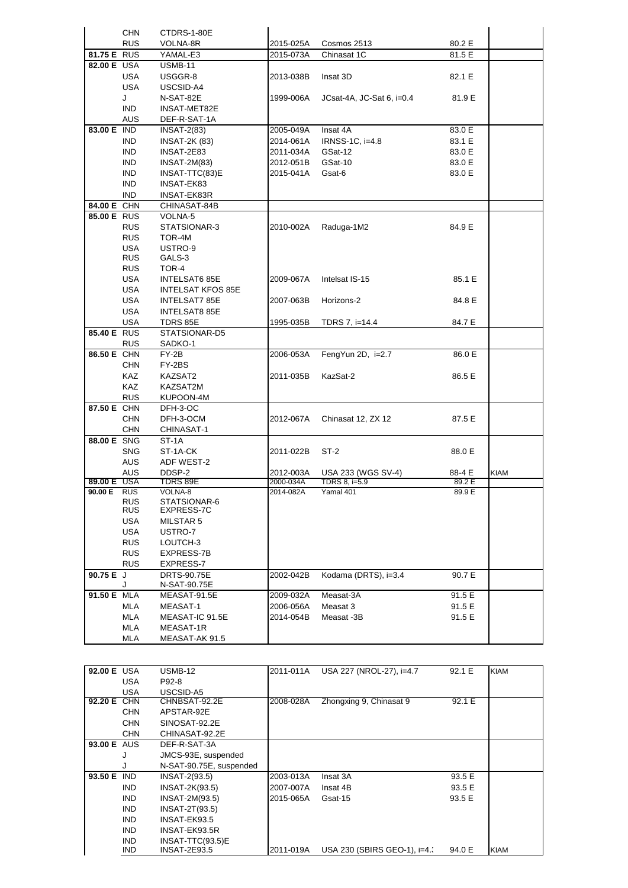|             | <b>CHN</b> | CTDRS-1-80E              |                        |                                     |                  |             |
|-------------|------------|--------------------------|------------------------|-------------------------------------|------------------|-------------|
|             | <b>RUS</b> | VOLNA-8R                 | 2015-025A              | Cosmos 2513                         | 80.2 E           |             |
| 81.75 E RUS |            | YAMAL-E3                 | 2015-073A              | Chinasat 1C                         | 81.5 E           |             |
| 82.00 E USA |            | USMB-11                  |                        |                                     |                  |             |
|             | <b>USA</b> | USGGR-8                  | 2013-038B              | Insat 3D                            | 82.1 E           |             |
|             | USA        | USCSID-A4                |                        |                                     |                  |             |
|             | J          | N-SAT-82E                | 1999-006A              | JCsat-4A, JC-Sat 6, i=0.4           | 81.9 E           |             |
|             | <b>IND</b> | INSAT-MET82E             |                        |                                     |                  |             |
|             | <b>AUS</b> | DEF-R-SAT-1A             |                        |                                     |                  |             |
| 83.00 E IND |            | $INSAT-2(83)$            | 2005-049A              | Insat 4A                            | 83.0 E           |             |
|             | IND.       | <b>INSAT-2K (83)</b>     | 2014-061A              | IRNSS-1C, $i=4.8$                   | 83.1 E           |             |
|             | IND.       | INSAT-2E83               | 2011-034A              | GSat-12                             | 83.0 E           |             |
|             | <b>IND</b> | $INSAT-2M(83)$           | 2012-051B              | GSat-10                             | 83.0 E           |             |
|             | <b>IND</b> | INSAT-TTC(83)E           | 2015-041A              | Gsat-6                              | 83.0 E           |             |
|             | <b>IND</b> | INSAT-EK83               |                        |                                     |                  |             |
|             | IND.       | INSAT-EK83R              |                        |                                     |                  |             |
| 84.00 E CHN |            | CHINASAT-84B             |                        |                                     |                  |             |
| 85.00 E RUS |            | VOLNA-5                  |                        |                                     |                  |             |
|             | <b>RUS</b> | STATSIONAR-3             | 2010-002A              | Raduga-1M2                          | 84.9 E           |             |
|             | <b>RUS</b> | TOR-4M                   |                        |                                     |                  |             |
|             | <b>USA</b> | USTRO-9                  |                        |                                     |                  |             |
|             | <b>RUS</b> | GALS-3                   |                        |                                     |                  |             |
|             | <b>RUS</b> | TOR-4                    |                        |                                     |                  |             |
|             | USA        | INTELSAT6 85E            | 2009-067A              | Intelsat IS-15                      | 85.1 E           |             |
|             | USA        | <b>INTELSAT KFOS 85E</b> |                        |                                     |                  |             |
|             | USA        | INTELSAT7 85E            | 2007-063B              | Horizons-2                          | 84.8 E           |             |
|             | <b>USA</b> | INTELSAT8 85E            |                        |                                     |                  |             |
|             | <b>USA</b> | TDRS 85E                 | 1995-035B              | TDRS 7, i=14.4                      | 84.7 E           |             |
| 85.40 E RUS |            | STATSIONAR-D5            |                        |                                     |                  |             |
|             | <b>RUS</b> | SADKO-1                  |                        |                                     |                  |             |
| 86.50 E CHN |            | FY-2B                    | 2006-053A              | FengYun 2D, i=2.7                   | 86.0 E           |             |
|             | CHN        | FY-2BS                   |                        |                                     |                  |             |
|             | <b>KAZ</b> | KAZSAT2                  | 2011-035B              | KazSat-2                            | 86.5 E           |             |
|             | <b>KAZ</b> | KAZSAT2M                 |                        |                                     |                  |             |
|             | <b>RUS</b> | KUPOON-4M                |                        |                                     |                  |             |
| 87.50 E CHN |            | DFH-3-OC                 |                        |                                     |                  |             |
|             | <b>CHN</b> | DFH-3-OCM                | 2012-067A              | Chinasat 12, ZX 12                  | 87.5 E           |             |
| 88.00 E SNG | <b>CHN</b> | CHINASAT-1               |                        |                                     |                  |             |
|             |            | ST-1A                    |                        |                                     |                  |             |
|             | <b>SNG</b> | ST-1A-CK                 | 2011-022B              | ST-2                                | 88.0 E           |             |
|             | AUS        | ADF WEST-2               |                        |                                     |                  |             |
| 89.00 E USA | AUS        | DDSP-2<br>TDRS 89E       | 2012-003A<br>2000-034A | USA 233 (WGS SV-4)<br>TDRS 8, i=5.9 | 88-4 E<br>89.2 E | <b>KIAM</b> |
| 90.00 E RUS |            | VOLNA-8                  | 2014-082A              | Yamal 401                           | 89.9 E           |             |
|             | <b>RUS</b> | STATSIONAR-6             |                        |                                     |                  |             |
|             | <b>RUS</b> | EXPRESS-7C               |                        |                                     |                  |             |
|             | <b>USA</b> | MILSTAR 5                |                        |                                     |                  |             |
|             | USA        | USTRO-7                  |                        |                                     |                  |             |
|             | <b>RUS</b> | LOUTCH-3                 |                        |                                     |                  |             |
|             | <b>RUS</b> | EXPRESS-7B               |                        |                                     |                  |             |
|             | <b>RUS</b> | EXPRESS-7                |                        |                                     |                  |             |
| 90.75 E J   |            | <b>DRTS-90.75E</b>       | 2002-042B              | Kodama (DRTS), i=3.4                | 90.7 E           |             |
|             |            | N-SAT-90.75E             |                        |                                     |                  |             |
| 91.50 E MLA |            | MEASAT-91.5E             | 2009-032A              | Measat-3A                           | 91.5 E           |             |
|             | MLA        | MEASAT-1                 | 2006-056A              | Measat 3                            | 91.5 E           |             |
|             | MLA        | MEASAT-IC 91.5E          | 2014-054B              | Measat -3B                          | 91.5 E           |             |
|             | MLA        | MEASAT-1R                |                        |                                     |                  |             |
|             | MLA        | MEASAT-AK 91.5           |                        |                                     |                  |             |

| 92.00 E USA |            | USMB-12                 | 2011-011A | USA 227 (NROL-27), i=4.7    | 92.1 E | <b>KIAM</b> |
|-------------|------------|-------------------------|-----------|-----------------------------|--------|-------------|
|             | USA        | P92-8                   |           |                             |        |             |
|             | USA        | USCSID-A5               |           |                             |        |             |
| 92.20 E CHN |            | CHNBSAT-92.2E           | 2008-028A | Zhongxing 9, Chinasat 9     | 92.1 E |             |
|             | <b>CHN</b> | APSTAR-92E              |           |                             |        |             |
|             | <b>CHN</b> | SINOSAT-92.2E           |           |                             |        |             |
|             | <b>CHN</b> | CHINASAT-92.2E          |           |                             |        |             |
| 93.00 E AUS |            | DEF-R-SAT-3A            |           |                             |        |             |
|             | J          | JMCS-93E, suspended     |           |                             |        |             |
|             | J          | N-SAT-90.75E, suspended |           |                             |        |             |
| 93.50 E     | <b>IND</b> | $INSAT-2(93.5)$         | 2003-013A | Insat 3A                    | 93.5 E |             |
|             | <b>IND</b> | <b>INSAT-2K(93.5)</b>   | 2007-007A | Insat 4B                    | 93.5 E |             |
|             | <b>IND</b> | INSAT-2M(93.5)          | 2015-065A | Gsat-15                     | 93.5 E |             |
|             | <b>IND</b> | <b>INSAT-2T(93.5)</b>   |           |                             |        |             |
|             | <b>IND</b> | INSAT-EK93.5            |           |                             |        |             |
|             | <b>IND</b> | INSAT-EK93.5R           |           |                             |        |             |
|             | IND.       | INSAT-TTC(93.5)E        |           |                             |        |             |
|             | IND.       | <b>INSAT-2E93.5</b>     | 2011-019A | USA 230 (SBIRS GEO-1), i=4. | 94.0 E | <b>KIAM</b> |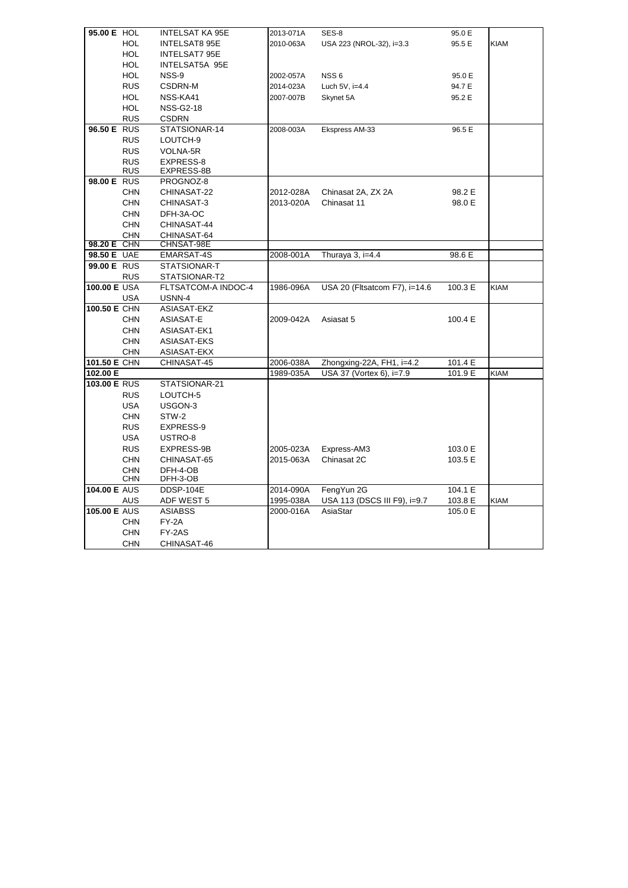| 95.00 E HOL                |            | INTELSAT KA 95E                      | 2013-071A | SES-8                         | 95.0 E  |             |
|----------------------------|------------|--------------------------------------|-----------|-------------------------------|---------|-------------|
|                            | <b>HOL</b> | <b>INTELSAT8 95E</b>                 | 2010-063A | USA 223 (NROL-32), i=3.3      | 95.5 E  | <b>KIAM</b> |
|                            | <b>HOL</b> | INTELSAT7 95E                        |           |                               |         |             |
|                            | <b>HOL</b> | INTELSAT5A 95E                       |           |                               |         |             |
|                            | <b>HOL</b> | NSS-9                                | 2002-057A | NSS <sub>6</sub>              | 95.0 E  |             |
|                            | <b>RUS</b> | CSDRN-M                              | 2014-023A | Luch 5V, i=4.4                | 94.7 E  |             |
|                            | <b>HOL</b> | NSS-KA41                             | 2007-007B | Skynet 5A                     | 95.2 E  |             |
|                            | <b>HOL</b> | <b>NSS-G2-18</b>                     |           |                               |         |             |
|                            | <b>RUS</b> | <b>CSDRN</b>                         |           |                               |         |             |
| 96.50 E RUS                |            | STATSIONAR-14                        | 2008-003A | Ekspress AM-33                | 96.5 E  |             |
|                            | <b>RUS</b> | LOUTCH-9                             |           |                               |         |             |
|                            | <b>RUS</b> | VOLNA-5R                             |           |                               |         |             |
|                            | <b>RUS</b> | EXPRESS-8                            |           |                               |         |             |
|                            | <b>RUS</b> | EXPRESS-8B                           |           |                               |         |             |
| 98.00 E RUS                |            | PROGNOZ-8                            |           |                               |         |             |
|                            | <b>CHN</b> | CHINASAT-22                          | 2012-028A | Chinasat 2A, ZX 2A            | 98.2 E  |             |
|                            | <b>CHN</b> | CHINASAT-3                           | 2013-020A | Chinasat 11                   | 98.0 E  |             |
|                            | <b>CHN</b> | DFH-3A-OC                            |           |                               |         |             |
|                            | <b>CHN</b> | CHINASAT-44                          |           |                               |         |             |
|                            | <b>CHN</b> | CHINASAT-64                          |           |                               |         |             |
| 98.20 E CHN<br>98.50 E UAE |            | CHNSAT-98E                           | 2008-001A |                               | 98.6 E  |             |
| 99.00 E RUS                |            | EMARSAT-4S<br>STATSIONAR-T           |           | Thuraya 3, i=4.4              |         |             |
|                            |            |                                      |           |                               |         |             |
| 100.00 E USA               | <b>RUS</b> | STATSIONAR-T2<br>FLTSATCOM-A INDOC-4 | 1986-096A | USA 20 (Fltsatcom F7), i=14.6 | 100.3 E | <b>KIAM</b> |
|                            | <b>USA</b> | USNN-4                               |           |                               |         |             |
| 100.50 E CHN               |            | ASIASAT-EKZ                          |           |                               |         |             |
|                            | <b>CHN</b> | ASIASAT-E                            | 2009-042A | Asiasat 5                     | 100.4 E |             |
|                            | <b>CHN</b> | ASIASAT-EK1                          |           |                               |         |             |
|                            | <b>CHN</b> | ASIASAT-EKS                          |           |                               |         |             |
|                            | <b>CHN</b> | ASIASAT-EKX                          |           |                               |         |             |
| 101.50 E CHN               |            | CHINASAT-45                          | 2006-038A | Zhongxing-22A, FH1, i=4.2     | 101.4 E |             |
| 102.00 E                   |            |                                      | 1989-035A | USA 37 (Vortex 6), i=7.9      | 101.9 E | KIAM        |
| 103.00 E RUS               |            | STATSIONAR-21                        |           |                               |         |             |
|                            | <b>RUS</b> | LOUTCH-5                             |           |                               |         |             |
|                            | <b>USA</b> | USGON-3                              |           |                               |         |             |
|                            | <b>CHN</b> | STW-2                                |           |                               |         |             |
|                            | <b>RUS</b> | EXPRESS-9                            |           |                               |         |             |
|                            | <b>USA</b> | USTRO-8                              |           |                               |         |             |
|                            | <b>RUS</b> | EXPRESS-9B                           | 2005-023A | Express-AM3                   | 103.0 E |             |
|                            | <b>CHN</b> | CHINASAT-65                          | 2015-063A | Chinasat 2C                   | 103.5 E |             |
|                            | <b>CHN</b> | DFH-4-OB                             |           |                               |         |             |
|                            | <b>CHN</b> | DFH-3-OB                             |           |                               |         |             |
| <b>104.00 E AUS</b>        |            | DDSP-104E                            | 2014-090A | FengYun 2G                    | 104.1 E |             |
|                            | AUS        | ADF WEST 5                           | 1995-038A | USA 113 (DSCS III F9), i=9.7  | 103.8 E | <b>KIAM</b> |
| 105.00 E AUS               |            | <b>ASIABSS</b>                       | 2000-016A | AsiaStar                      | 105.0 E |             |
|                            | <b>CHN</b> | $FY-2A$                              |           |                               |         |             |
|                            | <b>CHN</b> | FY-2AS                               |           |                               |         |             |
|                            | <b>CHN</b> | CHINASAT-46                          |           |                               |         |             |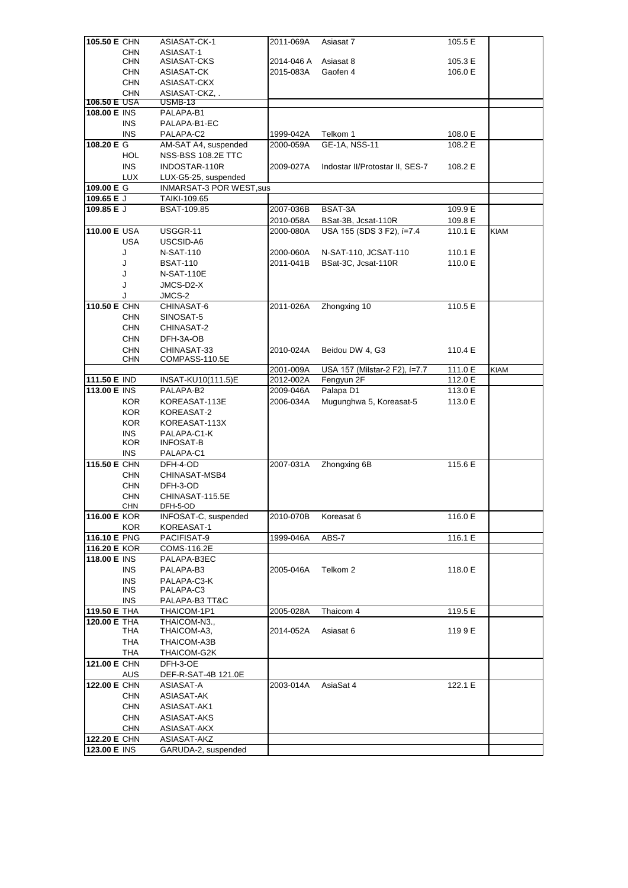| 105.50 E CHN                 |              | ASIASAT-CK-1                       | 2011-069A  | Asiasat 7                       | 105.5 E |             |
|------------------------------|--------------|------------------------------------|------------|---------------------------------|---------|-------------|
|                              | <b>CHN</b>   | ASIASAT-1                          |            |                                 |         |             |
|                              | <b>CHN</b>   | ASIASAT-CKS                        | 2014-046 A | Asiasat 8                       | 105.3 E |             |
|                              | <b>CHN</b>   | ASIASAT-CK                         | 2015-083A  | Gaofen 4                        | 106.0 E |             |
|                              | <b>CHN</b>   | ASIASAT-CKX                        |            |                                 |         |             |
| <b>106.50 E USA</b>          | <b>CHN</b>   | ASIASAT-CKZ<br>USMB-13             |            |                                 |         |             |
| 108.00 E INS                 |              | PALAPA-B1                          |            |                                 |         |             |
|                              | INS.         | PALAPA-B1-EC                       |            |                                 |         |             |
|                              | INS.         | PALAPA-C2                          | 1999-042A  | Telkom 1                        | 108.0 E |             |
| 108.20 E G                   |              | AM-SAT A4, suspended               | 2000-059A  | GE-1A, NSS-11                   | 108.2 E |             |
|                              | <b>HOL</b>   | NSS-BSS 108.2E TTC                 |            |                                 |         |             |
|                              | <b>INS</b>   | INDOSTAR-110R                      | 2009-027A  | Indostar II/Protostar II, SES-7 | 108.2 E |             |
|                              | LUX          | LUX-G5-25, suspended               |            |                                 |         |             |
| 109.00 E G                   |              | INMARSAT-3 POR WEST, sus           |            |                                 |         |             |
| 109.65 E J                   |              | TAIKI-109.65                       |            |                                 |         |             |
| 109.85 E J                   |              | <b>BSAT-109.85</b>                 | 2007-036B  | BSAT-3A                         | 109.9 E |             |
|                              |              |                                    | 2010-058A  | BSat-3B, Jcsat-110R             | 109.8 E |             |
| 110.00 E USA                 |              | USGGR-11                           | 2000-080A  | USA 155 (SDS 3 F2), í=7.4       | 110.1 E | <b>KIAM</b> |
|                              | <b>USA</b>   | USCSID-A6                          |            |                                 |         |             |
|                              | J            | N-SAT-110                          | 2000-060A  | N-SAT-110, JCSAT-110            | 110.1 E |             |
|                              | J            | <b>BSAT-110</b>                    | 2011-041B  | BSat-3C, Jcsat-110R             | 110.0 E |             |
|                              | J            | <b>N-SAT-110E</b>                  |            |                                 |         |             |
|                              | J            | JMCS-D2-X                          |            |                                 |         |             |
| 110.50 E CHN                 | J            | JMCS-2                             |            | Zhongxing 10                    | 110.5 E |             |
|                              | CHN          | CHINASAT-6<br>SINOSAT-5            | 2011-026A  |                                 |         |             |
|                              | <b>CHN</b>   | CHINASAT-2                         |            |                                 |         |             |
|                              | <b>CHN</b>   | DFH-3A-OB                          |            |                                 |         |             |
|                              | <b>CHN</b>   | CHINASAT-33                        | 2010-024A  | Beidou DW 4, G3                 | 110.4 E |             |
|                              | <b>CHN</b>   | COMPASS-110.5E                     |            |                                 |         |             |
|                              |              |                                    | 2001-009A  | USA 157 (Milstar-2 F2), í=7.7   | 111.0 E | KIAM        |
| 111.50 E IND                 |              | INSAT-KU10(111.5)E                 | 2012-002A  | Fengyun 2F                      | 112.0 E |             |
| <b>113.00 E INS</b>          |              | PALAPA-B2                          | 2009-046A  | Palapa D1                       | 113.0 E |             |
|                              | <b>KOR</b>   | KOREASAT-113E                      | 2006-034A  | Mugunghwa 5, Koreasat-5         | 113.0 E |             |
|                              | <b>KOR</b>   | KOREASAT-2                         |            |                                 |         |             |
|                              | <b>KOR</b>   | KOREASAT-113X                      |            |                                 |         |             |
|                              | <b>INS</b>   | PALAPA-C1-K                        |            |                                 |         |             |
|                              | KOR.<br>INS. | <b>INFOSAT-B</b><br>PALAPA-C1      |            |                                 |         |             |
| 115.50 E CHN                 |              | DFH-4-OD                           | 2007-031A  | Zhongxing 6B                    | 115.6 E |             |
|                              | CHN          | CHINASAT-MSB4                      |            |                                 |         |             |
|                              | <b>CHN</b>   | DFH-3-OD                           |            |                                 |         |             |
|                              | <b>CHN</b>   |                                    |            |                                 |         |             |
|                              |              | CHINASAT-115.5E                    |            |                                 |         |             |
|                              | <b>CHN</b>   | DFH-5-OD                           |            |                                 |         |             |
| 116.00 E KOR                 |              | INFOSAT-C, suspended               | 2010-070B  | Koreasat 6                      | 116.0 E |             |
|                              | <b>KOR</b>   | KOREASAT-1                         |            |                                 |         |             |
| 116.10 E PNG                 |              | PACIFISAT-9                        | 1999-046A  | ABS-7                           | 116.1 E |             |
| 116.20 E KOR                 |              | COMS-116.2E                        |            |                                 |         |             |
| 118.00 E INS                 |              | PALAPA-B3EC                        |            |                                 |         |             |
|                              | INS.         | PALAPA-B3                          | 2005-046A  | Telkom 2                        | 118.0 E |             |
|                              | <b>INS</b>   | PALAPA-C3-K                        |            |                                 |         |             |
|                              | INS.         | PALAPA-C3                          |            |                                 |         |             |
|                              | <b>INS</b>   | PALAPA-B3 TT&C                     |            |                                 |         |             |
| 119.50 E THA<br>120.00 E THA |              | THAICOM-1P1<br>THAICOM-N3.,        | 2005-028A  | Thaicom 4                       | 119.5 E |             |
|                              | THA          | THAICOM-A3,                        | 2014-052A  | Asiasat 6                       | 119 9 E |             |
|                              | <b>THA</b>   | THAICOM-A3B                        |            |                                 |         |             |
|                              | THA          | THAICOM-G2K                        |            |                                 |         |             |
| 121.00 E CHN                 |              | DFH-3-OE                           |            |                                 |         |             |
|                              | AUS          | DEF-R-SAT-4B 121.0E                |            |                                 |         |             |
| 122.00 E CHN                 |              | ASIASAT-A                          | 2003-014A  | AsiaSat 4                       | 122.1 E |             |
|                              | CHN          | ASIASAT-AK                         |            |                                 |         |             |
|                              | <b>CHN</b>   | ASIASAT-AK1                        |            |                                 |         |             |
|                              | <b>CHN</b>   | ASIASAT-AKS                        |            |                                 |         |             |
|                              | CHN          | ASIASAT-AKX                        |            |                                 |         |             |
| 122.20 E CHN<br>123.00 E INS |              | ASIASAT-AKZ<br>GARUDA-2, suspended |            |                                 |         |             |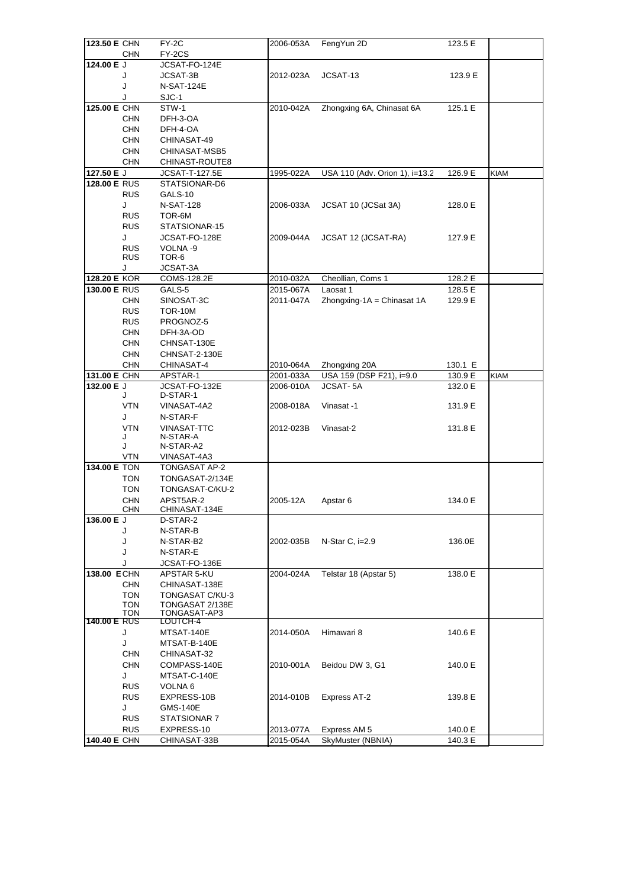| 123.50 E CHN        |                          | FY-2C                       | 2006-053A | FengYun 2D                     | 123.5 E |             |
|---------------------|--------------------------|-----------------------------|-----------|--------------------------------|---------|-------------|
|                     | <b>CHN</b>               | FY-2CS                      |           |                                |         |             |
| 124.00 E J          |                          | JCSAT-FO-124E               |           |                                |         |             |
|                     | J                        | JCSAT-3B                    | 2012-023A | JCSAT-13                       | 123.9 E |             |
|                     | J                        | <b>N-SAT-124E</b>           |           |                                |         |             |
|                     | J                        | SJC-1                       |           |                                |         |             |
| 125.00 E CHN        |                          | STW-1                       | 2010-042A | Zhongxing 6A, Chinasat 6A      | 125.1 E |             |
|                     | <b>CHN</b>               | DFH-3-OA                    |           |                                |         |             |
|                     | <b>CHN</b>               | DFH-4-OA                    |           |                                |         |             |
|                     | <b>CHN</b>               | CHINASAT-49                 |           |                                |         |             |
|                     | <b>CHN</b>               | CHINASAT-MSB5               |           |                                |         |             |
|                     | <b>CHN</b>               | CHINAST-ROUTE8              |           |                                |         |             |
| 127.50 E J          |                          | <b>JCSAT-T-127.5E</b>       | 1995-022A | USA 110 (Adv. Orion 1), i=13.2 | 126.9 E | <b>KIAM</b> |
| 128.00 E RUS        |                          | STATSIONAR-D6               |           |                                |         |             |
|                     | <b>RUS</b>               | GALS-10                     |           |                                |         |             |
|                     | J                        | <b>N-SAT-128</b>            | 2006-033A | JCSAT 10 (JCSat 3A)            | 128.0 E |             |
|                     | <b>RUS</b>               | TOR-6M                      |           |                                |         |             |
|                     | <b>RUS</b>               | STATSIONAR-15               |           |                                |         |             |
|                     | J                        | JCSAT-FO-128E               | 2009-044A | JCSAT 12 (JCSAT-RA)            | 127.9 E |             |
|                     | <b>RUS</b>               | VOLNA-9                     |           |                                |         |             |
|                     | <b>RUS</b>               | TOR-6                       |           |                                |         |             |
|                     | J                        | JCSAT-3A                    |           |                                |         |             |
| 128.20 E KOR        |                          | COMS-128.2E                 | 2010-032A | Cheollian, Coms 1              | 128.2 E |             |
| 130.00 E RUS        |                          | GALS-5                      | 2015-067A | Laosat 1                       | 128.5 E |             |
|                     | <b>CHN</b>               | SINOSAT-3C<br>TOR-10M       | 2011-047A | $Z$ hongxing-1A = Chinasat 1A  | 129.9 E |             |
|                     | <b>RUS</b>               |                             |           |                                |         |             |
|                     | <b>RUS</b><br><b>CHN</b> | PROGNOZ-5                   |           |                                |         |             |
|                     | <b>CHN</b>               | DFH-3A-OD<br>CHNSAT-130E    |           |                                |         |             |
|                     | <b>CHN</b>               | CHNSAT-2-130E               |           |                                |         |             |
|                     | <b>CHN</b>               | CHINASAT-4                  | 2010-064A | Zhongxing 20A                  | 130.1 E |             |
| 131.00 E CHN        |                          | APSTAR-1                    | 2001-033A | USA 159 (DSP F21), i=9.0       | 130.9 E | <b>KIAM</b> |
| 132.00 E J          |                          | JCSAT-FO-132E               | 2006-010A | <b>JCSAT-5A</b>                | 132.0 E |             |
|                     | J                        | D-STAR-1                    |           |                                |         |             |
|                     | <b>VTN</b>               | VINASAT-4A2                 | 2008-018A | Vinasat -1                     | 131.9 E |             |
|                     | J                        | N-STAR-F                    |           |                                |         |             |
|                     | <b>VTN</b>               | <b>VINASAT-TTC</b>          | 2012-023B | Vinasat-2                      | 131.8 E |             |
|                     | J                        | N-STAR-A                    |           |                                |         |             |
|                     | J                        | N-STAR-A2                   |           |                                |         |             |
|                     | <b>VTN</b>               | VINASAT-4A3                 |           |                                |         |             |
| 134.00 E TON        |                          | TONGASAT AP-2               |           |                                |         |             |
|                     | TON                      | TONGASAT-2/134E             |           |                                |         |             |
|                     | <b>TON</b>               | TONGASAT-C/KU-2             |           |                                |         |             |
|                     | <b>CHN</b>               | APST5AR-2                   | 2005-12A  | Apstar 6                       | 134.0 E |             |
| 136.00 E J          | <b>CHN</b>               | CHINASAT-134E<br>D-STAR-2   |           |                                |         |             |
|                     | J                        | N-STAR-B                    |           |                                |         |             |
|                     | J                        | N-STAR-B2                   | 2002-035B | N-Star C, $i=2.9$              | 136.0E  |             |
|                     | J                        | N-STAR-E                    |           |                                |         |             |
|                     | J                        | JCSAT-FO-136E               |           |                                |         |             |
| 138.00 ECHN         |                          | APSTAR 5-KU                 | 2004-024A | Telstar 18 (Apstar 5)          | 138.0 E |             |
|                     | <b>CHN</b>               | CHINASAT-138E               |           |                                |         |             |
|                     | <b>TON</b>               | TONGASAT C/KU-3             |           |                                |         |             |
|                     | TON                      | TONGASAT 2/138E             |           |                                |         |             |
|                     | 1 ON                     | <b>IONGASAI-AP3</b>         |           |                                |         |             |
| <b>140.00 E RUS</b> |                          | LOUTCH-4                    |           |                                |         |             |
|                     | J                        | MTSAT-140E                  | 2014-050A | Himawari 8                     | 140.6 E |             |
|                     | J<br>CHN                 | MTSAT-B-140E<br>CHINASAT-32 |           |                                |         |             |
|                     | <b>CHN</b>               | COMPASS-140E                | 2010-001A | Beidou DW 3, G1                | 140.0 E |             |
|                     | J                        | MTSAT-C-140E                |           |                                |         |             |
|                     | <b>RUS</b>               | VOLNA 6                     |           |                                |         |             |
|                     | <b>RUS</b>               | EXPRESS-10B                 | 2014-010B | Express AT-2                   | 139.8 E |             |
|                     | J                        | GMS-140E                    |           |                                |         |             |
|                     | <b>RUS</b>               | STATSIONAR 7                |           |                                |         |             |
|                     | <b>RUS</b>               | EXPRESS-10                  | 2013-077A | Express AM 5                   | 140.0 E |             |
| <b>140.40 E CHN</b> |                          | CHINASAT-33B                | 2015-054A | SkyMuster (NBNIA)              | 140.3 E |             |
|                     |                          |                             |           |                                |         |             |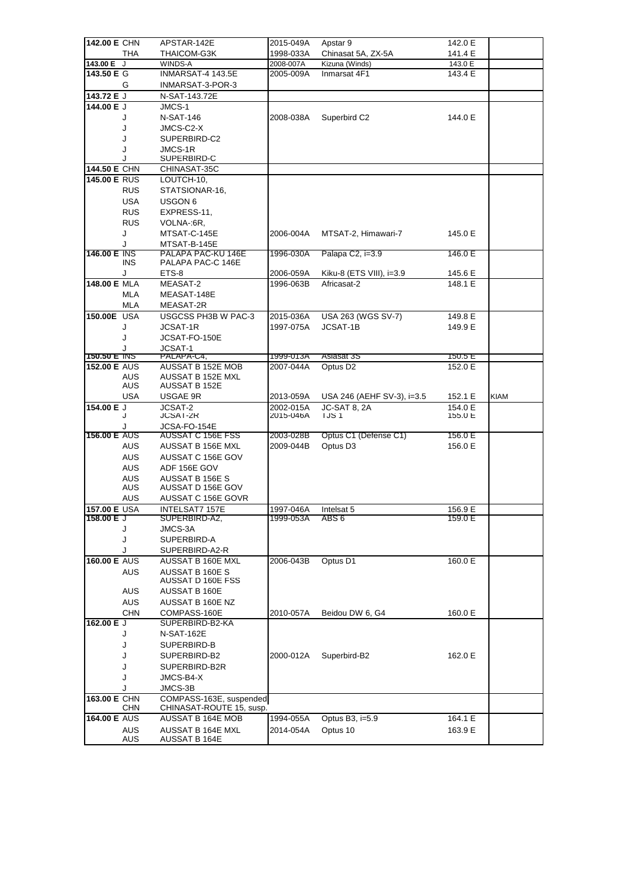| 142.00 E CHN        |                   | APSTAR-142E                          | 2015-049A | Apstar 9                   | 142.0 E |             |
|---------------------|-------------------|--------------------------------------|-----------|----------------------------|---------|-------------|
|                     | THA               | <b>THAICOM-G3K</b>                   | 1998-033A | Chinasat 5A, ZX-5A         | 141.4 E |             |
| 143.00 E J          |                   | WINDS-A                              | 2008-007A | Kizuna (Winds)             | 143.0 E |             |
| 143.50 E G          |                   | INMARSAT-4 143.5E                    | 2005-009A | Inmarsat 4F1               | 143.4 E |             |
|                     | G                 | INMARSAT-3-POR-3                     |           |                            |         |             |
| 143.72 E J          |                   | N-SAT-143.72E                        |           |                            |         |             |
| 144.00 E J          |                   | JMCS-1                               |           |                            |         |             |
|                     | J                 | <b>N-SAT-146</b>                     | 2008-038A | Superbird C2               | 144.0 E |             |
|                     | J                 | JMCS-C2-X                            |           |                            |         |             |
|                     | J                 | SUPERBIRD-C2                         |           |                            |         |             |
|                     | J<br>J            | JMCS-1R<br>SUPERBIRD-C               |           |                            |         |             |
| 144.50 E CHN        |                   | CHINASAT-35C                         |           |                            |         |             |
| 145.00 E RUS        |                   | LOUTCH-10,                           |           |                            |         |             |
|                     | RUS               | STATSIONAR-16,                       |           |                            |         |             |
|                     | <b>USA</b>        | USGON 6                              |           |                            |         |             |
|                     | <b>RUS</b>        | EXPRESS-11,                          |           |                            |         |             |
|                     | <b>RUS</b>        | VOLNA-:6R,                           |           |                            |         |             |
|                     | J                 | MTSAT-C-145E                         | 2006-004A | MTSAT-2, Himawari-7        | 145.0 E |             |
|                     | J                 | MTSAT-B-145E                         |           |                            |         |             |
| <b>146.00 E INS</b> |                   | PALAPA PAC-KU 146E                   | 1996-030A | Palapa C2, i=3.9           | 146.0 E |             |
|                     | <b>INS</b>        | PALAPA PAC-C 146E                    |           |                            |         |             |
|                     | J                 | ETS-8                                | 2006-059A | Kiku-8 (ETS VIII), i=3.9   | 145.6 E |             |
| 148.00 E MLA        |                   | MEASAT-2                             | 1996-063B | Africasat-2                | 148.1 E |             |
|                     | <b>MLA</b>        | MEASAT-148E                          |           |                            |         |             |
|                     | MLA               | MEASAT-2R                            |           |                            |         |             |
| <b>150,00E USA</b>  |                   | USGCSS PH3B W PAC-3                  | 2015-036A | USA 263 (WGS SV-7)         | 149.8 E |             |
|                     | J                 | JCSAT-1R                             | 1997-075A | JCSAT-1B                   | 149.9 E |             |
|                     | J                 | JCSAT-FO-150E                        |           |                            |         |             |
| 150.50 E INS        |                   | JCSAT-1<br>PALAPA-C4,                | 1999-013A | Asiasat 3S                 | 150.5 E |             |
| <b>152.00 E AUS</b> |                   | AUSSAT B 152E MOB                    | 2007-044A | Optus D <sub>2</sub>       | 152.0 E |             |
|                     | AUS               | AUSSAT B 152E MXL                    |           |                            |         |             |
|                     | AUS               | <b>AUSSAT B 152E</b>                 |           |                            |         |             |
|                     | USA               | USGAE 9R                             | 2013-059A | USA 246 (AEHF SV-3), i=3.5 | 152.1 E | <b>KIAM</b> |
| 154.00 E J          |                   | JCSAT-2                              | 2002-015A | JC-SAT 8, 2A               | 154.0 E |             |
|                     | J                 | <b>JCSAT-2R</b>                      | 2015-046A | <b>IJS1</b>                | 155.0 E |             |
| <b>156.00 E AUS</b> | J                 | JCSA-FO-154E<br>AUSSAT C 156E FSS    | 2003-028B | Optus C1 (Defense C1)      | 156.0 E |             |
|                     | <b>AUS</b>        | AUSSAT B 156E MXL                    | 2009-044B | Optus D <sub>3</sub>       | 156.0 E |             |
|                     | <b>AUS</b>        | AUSSAT C 156E GOV                    |           |                            |         |             |
|                     | <b>AUS</b>        | ADF 156E GOV                         |           |                            |         |             |
|                     | <b>AUS</b>        | AUSSAT B 156E S                      |           |                            |         |             |
|                     | AUS               | AUSSAT D 156E GOV                    |           |                            |         |             |
|                     | AUS               | AUSSAT C 156E GOVR                   |           |                            |         |             |
| 157.00 E USA        |                   | INTELSAT7 157E                       | 1997-046A | Intelsat 5                 | 156.9 E |             |
| 158.00 E J          |                   | SUPERBIRD-A2,                        | 1999-053A | ABS 6                      | 159.0 E |             |
|                     | J                 | JMCS-3A                              |           |                            |         |             |
|                     | J                 | SUPERBIRD-A                          |           |                            |         |             |
|                     | J                 | SUPERBIRD-A2-R                       |           |                            |         |             |
| <b>160.00 E AUS</b> |                   | AUSSAT B 160E MXL                    | 2006-043B | Optus D1                   | 160.0 E |             |
|                     | <b>AUS</b>        | AUSSAT B 160E S<br>AUSSAT D 160E FSS |           |                            |         |             |
|                     | AUS               | AUSSAT B 160E                        |           |                            |         |             |
|                     | <b>AUS</b>        | AUSSAT B 160E NZ                     |           |                            |         |             |
|                     | <b>CHN</b>        | COMPASS-160E                         | 2010-057A | Beidou DW 6, G4            | 160.0 E |             |
| 162.00 E J          |                   | SUPERBIRD-B2-KA                      |           |                            |         |             |
|                     | J                 | N-SAT-162E                           |           |                            |         |             |
|                     | J                 | SUPERBIRD-B                          |           |                            |         |             |
|                     | J                 | SUPERBIRD-B2                         | 2000-012A | Superbird-B2               | 162.0 E |             |
|                     | J                 | SUPERBIRD-B2R                        |           |                            |         |             |
|                     | J                 | JMCS-B4-X                            |           |                            |         |             |
|                     | J                 | JMCS-3B                              |           |                            |         |             |
|                     |                   |                                      |           |                            |         |             |
| 163.00 E CHN        |                   | COMPASS-163E, suspended              |           |                            |         |             |
|                     | <b>CHN</b>        | CHINASAT-ROUTE 15, susp.             |           |                            |         |             |
| 164.00 E AUS        |                   | AUSSAT B 164E MOB                    | 1994-055A | Optus B3, i=5.9            | 164.1 E |             |
|                     | <b>AUS</b><br>AUS | AUSSAT B 164E MXL<br>AUSSAT B 164E   | 2014-054A | Optus 10                   | 163.9 E |             |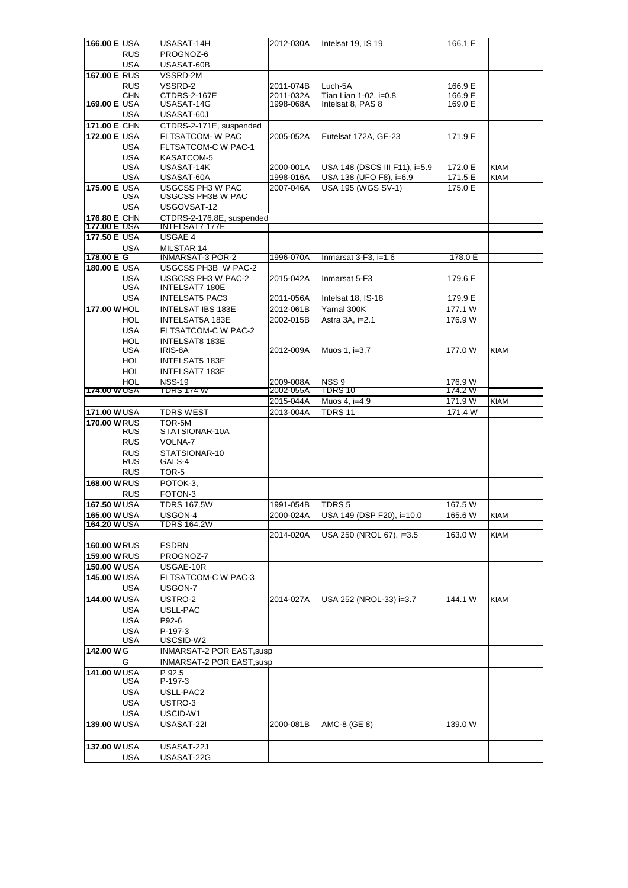| <b>166.00 E USA</b>       | USASAT-14H                                  | 2012-030A | Intelsat 19, IS 19                         | 166.1 E |             |
|---------------------------|---------------------------------------------|-----------|--------------------------------------------|---------|-------------|
| <b>RUS</b>                | PROGNOZ-6                                   |           |                                            |         |             |
| USA                       | USASAT-60B                                  |           |                                            |         |             |
| 167.00 E RUS              | VSSRD-2M                                    |           |                                            |         |             |
| <b>RUS</b>                | VSSRD-2                                     | 2011-074B | Luch-5A                                    | 166.9 E |             |
| <b>CHN</b>                | CTDRS-2-167E                                | 2011-032A | Tian Lian 1-02, i=0.8<br>Intelsat 8, PAS 8 | 166.9 E |             |
| 169.00 E USA              | USASAT-14G                                  | 1998-068A |                                            | 169.0 E |             |
| USA<br>171.00 E CHN       | USASAT-60J                                  |           |                                            |         |             |
| 172.00 E USA              | CTDRS-2-171E, suspended<br>FLTSATCOM- W PAC | 2005-052A |                                            | 171.9 E |             |
| USA                       | FLTSATCOM-C W PAC-1                         |           | Eutelsat 172A, GE-23                       |         |             |
| <b>USA</b>                | KASATCOM-5                                  |           |                                            |         |             |
| <b>USA</b>                | USASAT-14K                                  | 2000-001A | USA 148 (DSCS III F11), i=5.9              | 172.0 E | <b>KIAM</b> |
| <b>USA</b>                | USASAT-60A                                  | 1998-016A | USA 138 (UFO F8), i=6.9                    | 171.5 E | <b>KIAM</b> |
| 175.00 E USA              | <b>USGCSS PH3 W PAC</b>                     | 2007-046A | <b>USA 195 (WGS SV-1)</b>                  | 175.0 E |             |
| USA                       | <b>USGCSS PH3B W PAC</b>                    |           |                                            |         |             |
| USA                       | USGOVSAT-12                                 |           |                                            |         |             |
| 176.80 E CHN              | CTDRS-2-176.8E, suspended                   |           |                                            |         |             |
| 177.00 E USA              | <b>INTELSAT7 177E</b>                       |           |                                            |         |             |
| 177.50 E USA              | USGAE 4                                     |           |                                            |         |             |
| USA<br>178.00 E G         | MILSTAR 14<br><b>INMARSAT-3 POR-2</b>       | 1996-070A | Inmarsat $3-F3$ , i=1.6                    | 178.0 E |             |
| <b>180.00 E USA</b>       | USGCSS PH3B W PAC-2                         |           |                                            |         |             |
| <b>USA</b>                | USGCSS PH3 W PAC-2                          | 2015-042A | Inmarsat 5-F3                              | 179.6 E |             |
| <b>USA</b>                | <b>INTELSAT7 180E</b>                       |           |                                            |         |             |
| USA                       | <b>INTELSAT5 PAC3</b>                       | 2011-056A | Intelsat 18, IS-18                         | 179.9 E |             |
| 177,00 WHOL               | <b>INTELSAT IBS 183E</b>                    | 2012-061B | Yamal 300K                                 | 177.1 W |             |
| HOL.                      | INTELSAT5A 183E                             | 2002-015B | Astra 3A, i=2.1                            | 176.9 W |             |
| <b>USA</b>                | FLTSATCOM-C W PAC-2                         |           |                                            |         |             |
| <b>HOL</b>                | <b>INTELSAT8 183E</b>                       |           |                                            |         |             |
| USA                       | IRIS-8A                                     | 2012-009A | Muos 1, i=3.7                              | 177.0 W | <b>KIAM</b> |
| HOL                       | <b>INTELSAT5 183E</b>                       |           |                                            |         |             |
| <b>HOL</b>                | INTELSAT7 183E                              |           |                                            |         |             |
| HOL                       | <b>NSS-19</b>                               | 2009-008A | NSS <sub>9</sub>                           | 176.9 W |             |
| 174.00 WUSA               | TDRS 174 W                                  | 2002-055A | <b>TDRS 10</b>                             | 174.2 W |             |
|                           |                                             |           |                                            |         |             |
|                           |                                             | 2015-044A | Muos 4, i=4.9                              | 171.9 W | KIAM        |
| <b>171.00 WUSA</b>        | <b>TDRS WEST</b>                            | 2013-004A | <b>TDRS 11</b>                             | 171.4 W |             |
| <b>170,00 WRUS</b>        | TOR-5M                                      |           |                                            |         |             |
| <b>RUS</b>                | STATSIONAR-10A                              |           |                                            |         |             |
| <b>RUS</b><br><b>RUS</b>  | VOLNA-7<br>STATSIONAR-10                    |           |                                            |         |             |
| <b>RUS</b>                | GALS-4                                      |           |                                            |         |             |
| <b>RUS</b>                | TOR-5                                       |           |                                            |         |             |
| <b>168.00 WRUS</b>        | POTOK-3.                                    |           |                                            |         |             |
| <b>RUS</b>                | FOTON-3                                     |           |                                            |         |             |
| 167.50 WUSA               | <b>TDRS 167.5W</b>                          | 1991-054B | TDRS <sub>5</sub>                          | 167.5 W |             |
| 165.00 WUSA               | USGON-4                                     | 2000-024A | USA 149 (DSP F20), i=10.0                  | 165.6 W | <b>KIAM</b> |
| <b>164.20 WUSA</b>        | TDRS 164.2W                                 |           |                                            |         |             |
|                           |                                             | 2014-020A | USA 250 (NROL 67), i=3.5                   | 163.0 W | KIAM        |
| <b>160.00 WRUS</b>        | <b>ESDRN</b>                                |           |                                            |         |             |
| <b>159.00 WRUS</b>        | PROGNOZ-7                                   |           |                                            |         |             |
| 150.00 WUSA               | USGAE-10R                                   |           |                                            |         |             |
| 145.00 WUSA               | FLTSATCOM-C W PAC-3                         |           |                                            |         |             |
| USA                       | USGON-7                                     |           |                                            |         |             |
| <b>144.00 WUSA</b>        | USTRO-2                                     | 2014-027A | USA 252 (NROL-33) i=3.7                    | 144.1 W | <b>KIAM</b> |
| USA                       | USLL-PAC                                    |           |                                            |         |             |
| <b>USA</b>                | P92-6                                       |           |                                            |         |             |
| <b>USA</b><br>USA         | P-197-3<br>USCSID-W2                        |           |                                            |         |             |
| 142.00 WG                 | INMARSAT-2 POR EAST, susp                   |           |                                            |         |             |
| G                         | <b>INMARSAT-2 POR EAST, susp</b>            |           |                                            |         |             |
| 141.00 WUSA               | P 92.5                                      |           |                                            |         |             |
| USA                       | P-197-3                                     |           |                                            |         |             |
| USA                       | USLL-PAC2                                   |           |                                            |         |             |
| <b>USA</b>                | USTRO-3                                     |           |                                            |         |             |
| USA                       | USCID-W1                                    |           |                                            |         |             |
| 139.00 WUSA               | USASAT-22I                                  | 2000-081B | AMC-8 (GE 8)                               | 139.0 W |             |
|                           |                                             |           |                                            |         |             |
| 137.00 WUSA<br><b>USA</b> | USASAT-22J<br>USASAT-22G                    |           |                                            |         |             |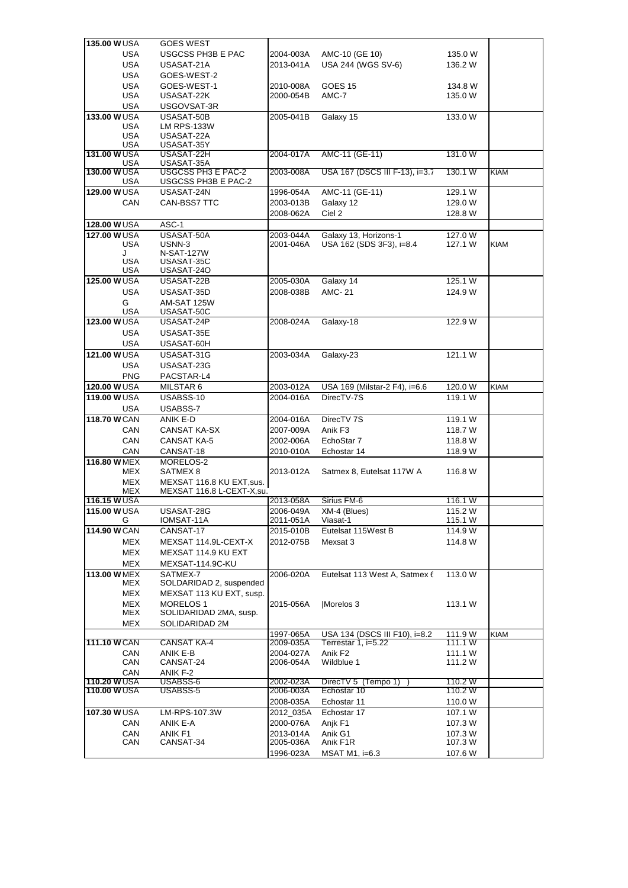| <b>135,00 WUSA</b>        | <b>GOES WEST</b>                                       |           |                                |         |             |
|---------------------------|--------------------------------------------------------|-----------|--------------------------------|---------|-------------|
| <b>USA</b>                | <b>USGCSS PH3B E PAC</b>                               | 2004-003A | AMC-10 (GE 10)                 | 135.0 W |             |
| <b>USA</b>                | USASAT-21A                                             | 2013-041A | USA 244 (WGS SV-6)             | 136.2 W |             |
| <b>USA</b>                | GOES-WEST-2                                            |           |                                |         |             |
| <b>USA</b>                | GOES-WEST-1                                            | 2010-008A | GOES <sub>15</sub>             | 134.8 W |             |
| <b>USA</b>                | USASAT-22K                                             | 2000-054B | AMC-7                          | 135.0 W |             |
| <b>USA</b>                | USGOVSAT-3R                                            |           |                                |         |             |
| 133.00 WUSA<br>USA        | USASAT-50B<br><b>LM RPS-133W</b>                       | 2005-041B | Galaxy 15                      | 133.0 W |             |
| <b>USA</b>                | USASAT-22A                                             |           |                                |         |             |
| <b>USA</b>                | USASAT-35Y                                             |           |                                |         |             |
| <b>131.00 WUSA</b>        | USASAT-22H                                             | 2004-017A | AMC-11 (GE-11)                 | 131.0W  |             |
| USA                       | USASAT-35A<br><b>USGCSS PH3 E PAC-2</b>                | 2003-008A | USA 167 (DSCS III F-13), i=3.7 | 130.1 W |             |
| <b>130.00 WUSA</b><br>USA | USGCSS PH3B E PAC-2                                    |           |                                |         | <b>KIAM</b> |
| 129.00 WUSA               | USASAT-24N                                             | 1996-054A | AMC-11 (GE-11)                 | 129.1 W |             |
| CAN                       | CAN-BSS7 TTC                                           | 2003-013B | Galaxy 12                      | 129.0 W |             |
|                           |                                                        | 2008-062A | Ciel 2                         | 128.8 W |             |
| 128.00 WUSA               | ASC-1                                                  |           |                                |         |             |
| <b>127.00 WUSA</b>        | USASAT-50A                                             | 2003-044A | Galaxy 13, Horizons-1          | 127.0 W |             |
| <b>USA</b><br>J           | USNN-3<br><b>N-SAT-127W</b>                            | 2001-046A | USA 162 (SDS 3F3), i=8.4       | 127.1 W | <b>KIAM</b> |
| USA                       | USASAT-35C                                             |           |                                |         |             |
| USA                       | USASAT-240                                             |           |                                |         |             |
| 125.00 WUSA               | USASAT-22B                                             | 2005-030A | Galaxy 14                      | 125.1 W |             |
| <b>USA</b>                | USASAT-35D                                             | 2008-038B | <b>AMC-21</b>                  | 124.9 W |             |
| G                         | AM-SAT 125W                                            |           |                                |         |             |
| USA                       | USASAT-50C                                             |           |                                |         |             |
| 123.00 WUSA               | USASAT-24P                                             | 2008-024A | Galaxy-18                      | 122.9 W |             |
| <b>USA</b>                | USASAT-35E                                             |           |                                |         |             |
| USA<br>121.00 WUSA        | USASAT-60H<br>USASAT-31G                               | 2003-034A | Galaxy-23                      | 121.1 W |             |
| <b>USA</b>                | USASAT-23G                                             |           |                                |         |             |
| <b>PNG</b>                | PACSTAR-L4                                             |           |                                |         |             |
| 120.00 WUSA               | MILSTAR 6                                              | 2003-012A | USA 169 (Milstar-2 F4), i=6.6  | 120.0 W | KIAM        |
| 119.00 WUSA               | USABSS-10                                              | 2004-016A | DirecTV-7S                     | 119.1 W |             |
| USA                       | USABSS-7                                               |           |                                |         |             |
| 118.70 W CAN              | ANIK E-D                                               | 2004-016A | DirecTV 7S                     | 119.1 W |             |
| CAN                       | CANSAT KA-SX                                           | 2007-009A | Anik F3                        | 118.7 W |             |
| CAN                       | <b>CANSAT KA-5</b>                                     | 2002-006A | EchoStar 7                     | 118.8 W |             |
| CAN                       | CANSAT-18                                              | 2010-010A | Echostar 14                    | 118.9 W |             |
| 116.80 W MEX              | MORELOS-2                                              |           |                                |         |             |
| MEX                       | SATMEX <sub>8</sub>                                    | 2013-012A | Satmex 8, Eutelsat 117W A      | 116.8 W |             |
| MEX                       | MEXSAT 116.8 KU EXT, sus.<br>MEXSAT 116.8 L-CEXT-X,su. |           |                                |         |             |
| MEX<br><b>116.15 WUSA</b> |                                                        | 2013-058A | Sirius FM-6                    | 116.1 W |             |
| 115.00 W USA              | USASAT-28G                                             | 2006-049A | XM-4 (Blues)                   | 115.2 W |             |
| G                         | IOMSAT-11A                                             | 2011-051A | Viasat-1                       | 115.1 W |             |
| 114.90 W CAN              | CANSAT-17                                              | 2015-010B | Eutelsat 115West B             | 114.9 W |             |
| MEX                       | MEXSAT 114.9L-CEXT-X                                   | 2012-075B | Mexsat 3                       | 114.8 W |             |
| MEX                       | MEXSAT 114.9 KU EXT                                    |           |                                |         |             |
| MEX                       | MEXSAT-114.9C-KU                                       |           |                                |         |             |
| 113.00 W MEX              | SATMEX-7                                               | 2006-020A | Eutelsat 113 West A, Satmex 6  | 113.0 W |             |
| MEX                       | SOLDARIDAD 2, suspended                                |           |                                |         |             |
| MEX                       | MEXSAT 113 KU EXT, susp.<br>MORELOS <sub>1</sub>       |           |                                | 113.1 W |             |
| MEX<br>MEX                | SOLIDARIDAD 2MA, susp.                                 | 2015-056A | Morelos 3                      |         |             |
| MEX                       | SOLIDARIDAD 2M                                         |           |                                |         |             |
|                           |                                                        | 1997-065A | USA 134 (DSCS III F10), i=8.2  | 111.9 W | <b>KIAM</b> |
| 111.10 W CAN              | CANSAT KA-4                                            | 2009-035A | Terrestar 1, i=5.22            | 111.1 W |             |
| CAN                       | ANIK E-B                                               | 2004-027A | Anik F <sub>2</sub>            | 111.1 W |             |
| CAN                       | CANSAT-24                                              | 2006-054A | Wildblue 1                     | 111.2 W |             |
| CAN<br>110.20 WUSA        | ANIK F-2<br>USABSS-6                                   | 2002-023A | DirecTV 5 (Tempo 1)            | 110.2 W |             |
| <b>110.00 WUSA</b>        | USABSS-5                                               | 2006-003A | Echostar 10                    | 110.2 W |             |
|                           |                                                        | 2008-035A | Echostar 11                    | 110.0 W |             |
| 107.30 WUSA               | LM-RPS-107.3W                                          | 2012_035A | Echostar 17                    | 107.1 W |             |
| CAN                       | ANIK E-A                                               | 2000-076A | Anjk F1                        | 107.3 W |             |
| CAN                       | ANIK F1                                                | 2013-014A | Anik G1                        | 107.3 W |             |
| <b>CAN</b>                | CANSAT-34                                              | 2005-036A | Anik F1R                       | 107.3 W |             |
|                           |                                                        | 1996-023A | MSAT M1, $i=6.3$               | 107.6 W |             |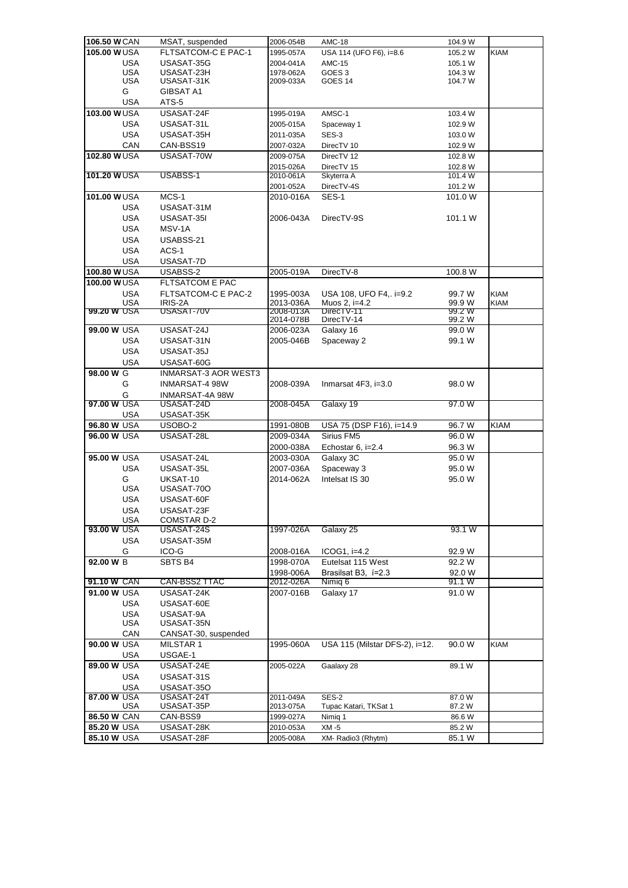| 106.50 W CAN               |                   | MSAT, suspended             | 2006-054B | <b>AMC-18</b>                  | 104.9 W         |             |
|----------------------------|-------------------|-----------------------------|-----------|--------------------------------|-----------------|-------------|
| 105.00 WUSA                |                   | FLTSATCOM-C E PAC-1         | 1995-057A | USA 114 (UFO F6), i=8.6        | 105.2 W         | <b>KIAM</b> |
|                            | USA               | USASAT-35G                  | 2004-041A | <b>AMC-15</b>                  | 105.1 W         |             |
|                            | USA               | USASAT-23H                  | 1978-062A | GOES 3                         | 104.3 W         |             |
|                            | USA               | USASAT-31K                  | 2009-033A | GOES 14                        | 104.7 W         |             |
|                            | G                 | <b>GIBSAT A1</b>            |           |                                |                 |             |
|                            | <b>USA</b>        | ATS-5                       |           |                                |                 |             |
| 103.00 WUSA                |                   | USASAT-24F                  | 1995-019A | AMSC-1                         | 103.4 W         |             |
|                            | USA               | USASAT-31L                  | 2005-015A | Spaceway 1                     | 102.9 W         |             |
|                            | <b>USA</b>        | USASAT-35H                  | 2011-035A | SES-3                          | 103.0 W         |             |
|                            | CAN               | CAN-BSS19                   | 2007-032A | DirecTV 10                     | 102.9 W         |             |
| 102.80 WUSA                |                   | USASAT-70W                  | 2009-075A | DirecTV 12                     | 102.8 W         |             |
|                            |                   |                             | 2015-026A | DirecTV 15                     | 102.8 W         |             |
| 101.20 WUSA                |                   | USABSS-1                    | 2010-061A | Skyterra A                     | 101.4 W         |             |
|                            |                   |                             | 2001-052A | DirecTV-4S                     | 101.2 W         |             |
| 101.00 WUSA                |                   | MCS-1                       | 2010-016A | SES-1                          | 101.0 W         |             |
|                            | <b>USA</b>        | USASAT-31M                  |           |                                |                 |             |
|                            | <b>USA</b>        | USASAT-35I                  | 2006-043A | DirecTV-9S                     | 101.1 W         |             |
|                            | <b>USA</b>        | MSV-1A                      |           |                                |                 |             |
|                            | <b>USA</b>        | USABSS-21                   |           |                                |                 |             |
|                            | <b>USA</b>        | ACS-1                       |           |                                |                 |             |
|                            | <b>USA</b>        | USASAT-7D                   |           |                                |                 |             |
| 100.80 WUSA                |                   | USABSS-2                    | 2005-019A | DirecTV-8                      | 100.8 W         |             |
| 100.00 WUSA                |                   | FLTSATCOM E PAC             |           |                                |                 |             |
|                            | <b>USA</b>        | FLTSATCOM-C E PAC-2         | 1995-003A | USA 108, UFO F4, i=9.2         | 99.7 W          | <b>KIAM</b> |
|                            | USA               | IRIS-2A                     | 2013-036A | Muos 2. i=4.2                  | 99.9 W          | <b>KIAM</b> |
| 99.20 W USA                |                   | USASA1-70V                  | 2008-013A | Direc IV-11                    | 99.2 W          |             |
|                            |                   |                             | 2014-078B | DirecTV-14                     | 99.2 W          |             |
| 99.00 W USA                |                   | USASAT-24J                  | 2006-023A | Galaxy 16                      | 99.0 W          |             |
|                            | USA               | USASAT-31N                  | 2005-046B | Spaceway 2                     | 99.1 W          |             |
|                            | <b>USA</b>        | USASAT-35J                  |           |                                |                 |             |
|                            | <b>USA</b>        | USASAT-60G                  |           |                                |                 |             |
| 98.00 W G                  |                   | <b>INMARSAT-3 AOR WEST3</b> |           |                                |                 |             |
|                            | G                 | INMARSAT-4 98W              | 2008-039A | Inmarsat 4F3, i=3.0            | 98.0 W          |             |
|                            | G                 | INMARSAT-4A 98W             |           |                                |                 |             |
| 97.00 W USA                |                   | USASAT-24D                  | 2008-045A | Galaxy 19                      | 97.0W           |             |
|                            | USA               | USASAT-35K                  |           |                                |                 |             |
| 96.80 W USA                |                   | USOBO-2                     | 1991-080B | USA 75 (DSP F16), i=14.9       | 96.7 W          | <b>KIAM</b> |
| 96.00 W USA                |                   | USASAT-28L                  | 2009-034A | Sirius FM5                     | 96.0 W          |             |
|                            |                   |                             | 2000-038A | Echostar 6, i=2.4              | 96.3 W          |             |
| 95.00 W USA                |                   | USASAT-24L                  | 2003-030A | Galaxy 3C                      | 95.0 W          |             |
|                            | <b>USA</b>        | USASAT-35L                  | 2007-036A | Spaceway 3                     | 95.0 W          |             |
|                            | G                 | UKSAT-10                    | 2014-062A | Intelsat IS 30                 | 95.0 W          |             |
|                            | <b>USA</b>        | USASAT-700                  |           |                                |                 |             |
|                            | USA               | USASAT-60F                  |           |                                |                 |             |
|                            | <b>USA</b>        | USASAT-23F                  |           |                                |                 |             |
|                            | USA               | COMSTAR D-2                 |           |                                |                 |             |
| 93.00 W USA                |                   | USASAT-24S                  | 1997-026A | Galaxy 25                      | 93.1 W          |             |
|                            | <b>USA</b>        | USASAT-35M                  |           |                                |                 |             |
|                            | G                 | ICO-G                       | 2008-016A | $ICOG1, i=4.2$                 | 92.9 W          |             |
| 92.00 W B                  |                   | SBTS B4                     | 1998-070A | Eutelsat 115 West              | 92.2 W          |             |
|                            |                   |                             | 1998-006A | Brasilsat B3, i=2.3            | 92.0 W          |             |
| 91.10 W CAN<br>91.00 W USA |                   | CAN-BSS2 TTAC<br>USASAT-24K | 2012-026A | Nimig 6                        | 91.1 W<br>91.0W |             |
|                            | <b>USA</b>        |                             | 2007-016B | Galaxy 17                      |                 |             |
|                            |                   | USASAT-60E<br>USASAT-9A     |           |                                |                 |             |
|                            | <b>USA</b><br>USA | USASAT-35N                  |           |                                |                 |             |
|                            | CAN               | CANSAT-30, suspended        |           |                                |                 |             |
| 90.00 W USA                |                   | MILSTAR 1                   | 1995-060A | USA 115 (Milstar DFS-2), i=12. | 90.0 W          | <b>KIAM</b> |
|                            | <b>USA</b>        | USGAE-1                     |           |                                |                 |             |
| 89.00 W USA                |                   | USASAT-24E                  | 2005-022A | Gaalaxy 28                     | 89.1 W          |             |
|                            | USA               | USASAT-31S                  |           |                                |                 |             |
|                            | <b>USA</b>        | USASAT-35O                  |           |                                |                 |             |
| 87.00 W USA                |                   | USASAT-24T                  | 2011-049A | <b>SES-2</b>                   | 87.0 W          |             |
|                            | USA               | USASAT-35P                  | 2013-075A | Tupac Katari, TKSat 1          | 87.2 W          |             |
| 86.50 W CAN                |                   | CAN-BSS9                    | 1999-027A | Nimig 1                        | 86.6 W          |             |
| 85.20 W USA                |                   | USASAT-28K                  | 2010-053A | XM -5                          | 85.2 W          |             |
| 85.10 W USA                |                   | USASAT-28F                  | 2005-008A | XM-Radio3 (Rhytm)              | 85.1 W          |             |
|                            |                   |                             |           |                                |                 |             |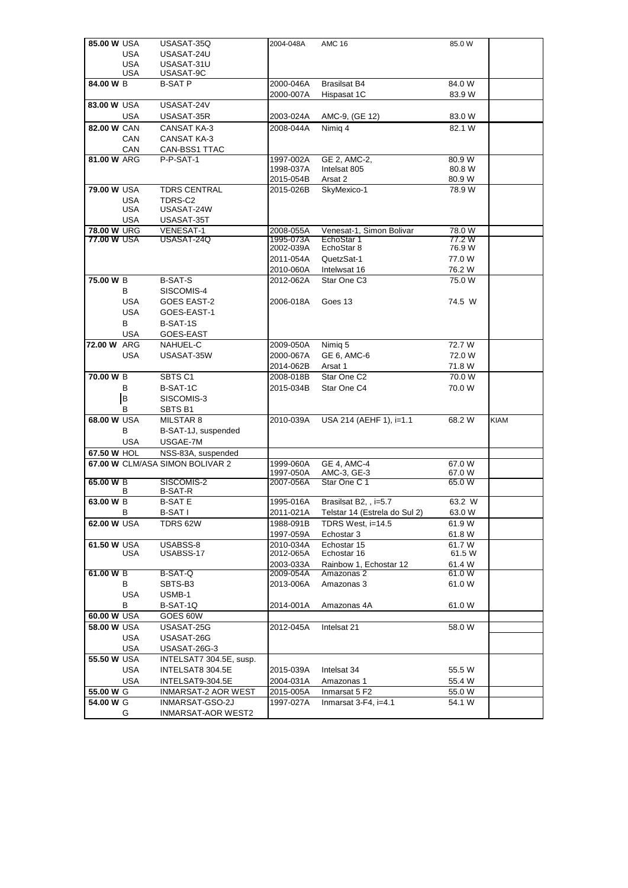| 85.00 W USA |            | USASAT-35Q                                   | 2004-048A | <b>AMC 16</b>                 | 85.0 W              |      |
|-------------|------------|----------------------------------------------|-----------|-------------------------------|---------------------|------|
|             | <b>USA</b> | USASAT-24U                                   |           |                               |                     |      |
|             | <b>USA</b> | USASAT-31U                                   |           |                               |                     |      |
|             | <b>USA</b> | USASAT-9C                                    |           |                               |                     |      |
| 84.00 W B   |            | <b>B-SAT P</b>                               | 2000-046A | <b>Brasilsat B4</b>           | 84.0 W              |      |
|             |            |                                              | 2000-007A | Hispasat 1C                   | 83.9 W              |      |
| 83.00 W USA |            | USASAT-24V                                   |           |                               |                     |      |
|             | <b>USA</b> | USASAT-35R                                   | 2003-024A | AMC-9, (GE 12)                | 83.0 W              |      |
| 82.00 W CAN |            | <b>CANSAT KA-3</b>                           | 2008-044A | Nimig 4                       | 82.1 W              |      |
|             | CAN        | <b>CANSAT KA-3</b>                           |           |                               |                     |      |
|             | CAN        | CAN-BSS1 TTAC                                |           |                               |                     |      |
| 81.00 W ARG |            | P-P-SAT-1                                    | 1997-002A | GE 2, AMC-2,                  | 80.9W               |      |
|             |            |                                              | 1998-037A | Intelsat 805                  | 80.8 W              |      |
|             |            |                                              | 2015-054B | Arsat 2                       | 80.9 W              |      |
| 79.00 W USA |            | <b>TDRS CENTRAL</b>                          | 2015-026B | SkyMexico-1                   | $\overline{78.9}$ W |      |
|             | <b>USA</b> | TDRS-C2                                      |           |                               |                     |      |
|             | <b>USA</b> | USASAT-24W                                   |           |                               |                     |      |
|             | <b>USA</b> | USASAT-35T                                   |           |                               |                     |      |
| 78.00 W URG |            | <b>VENESAT-1</b>                             | 2008-055A | Venesat-1, Simon Bolivar      | 78.0 W              |      |
| 77.00 W USA |            | USASAT-24Q                                   | 1995-073A | EchoStar 1                    | 77.2 W              |      |
|             |            |                                              | 2002-039A | EchoStar 8                    | 76.9 W              |      |
|             |            |                                              | 2011-054A | QuetzSat-1                    | 77.0W               |      |
|             |            |                                              | 2010-060A | Intelwsat 16                  | 76.2 W              |      |
| 75.00 W B   |            | <b>B-SAT-S</b>                               | 2012-062A | Star One C3                   | 75.0 W              |      |
|             | В          | SISCOMIS-4                                   |           |                               |                     |      |
|             | <b>USA</b> | <b>GOES EAST-2</b>                           | 2006-018A | Goes 13                       | 74.5 W              |      |
|             | <b>USA</b> | GOES-EAST-1                                  |           |                               |                     |      |
|             | B          | B-SAT-1S                                     |           |                               |                     |      |
|             | <b>USA</b> | GOES-EAST                                    |           |                               |                     |      |
| 72.00 W ARG |            | NAHUEL-C                                     |           |                               | 72.7 W              |      |
|             |            |                                              | 2009-050A | Nimig 5                       |                     |      |
|             | USA        | USASAT-35W                                   | 2000-067A | GE 6, AMC-6                   | 72.0 W              |      |
|             |            |                                              | 2014-062B | Arsat 1                       | 71.8 W              |      |
| 70.00 W B   |            | SBTS C1                                      | 2008-018B | Star One C2                   | 70.0 W              |      |
|             | В          | B-SAT-1C                                     | 2015-034B | Star One C4                   | 70.0 W              |      |
|             | B          | SISCOMIS-3                                   |           |                               |                     |      |
|             | В          | SBTS B1                                      |           |                               |                     |      |
| 68.00 W USA |            | MILSTAR 8                                    | 2010-039A | USA 214 (AEHF 1), i=1.1       | 68.2 W              | KIAM |
|             | B          | B-SAT-1J, suspended                          |           |                               |                     |      |
|             | <b>USA</b> | USGAE-7M                                     |           |                               |                     |      |
| 67.50 W HOL |            | NSS-83A, suspended                           |           |                               |                     |      |
|             |            | 67.00 W CLM/ASA SIMON BOLIVAR 2              | 1999-060A | <b>GE 4, AMC-4</b>            | 67.0 W              |      |
|             |            |                                              | 1997-050A | AMC-3, GE-3                   | 67.0 W              |      |
| 65.00 W B   |            | SISCOMIS-2                                   | 2007-056A | Star One C 1                  | 65.0W               |      |
|             | B          | B-SAT-R                                      |           |                               |                     |      |
| 63.00 W B   |            | <b>B-SATE</b>                                | 1995-016A | Brasilsat B2, , i=5.7         | 63.2 W              |      |
|             | В          | <b>B-SATI</b>                                | 2011-021A | Telstar 14 (Estrela do Sul 2) | 63.0 W              |      |
| 62.00 W USA |            | TDRS 62W                                     | 1988-091B | TDRS West, i=14.5             | 61.9 W              |      |
|             |            |                                              | 1997-059A | Echostar 3                    | 61.8 W              |      |
| 61.50 W USA |            | USABSS-8                                     | 2010-034A | Echostar 15                   | 61.7 W              |      |
|             | USA        | USABSS-17                                    | 2012-065A | Echostar 16                   | 61.5 W              |      |
|             |            |                                              | 2003-033A | Rainbow 1, Echostar 12        | 61.4 W              |      |
| 61.00 W B   |            | B-SAT-Q                                      | 2009-054A | Amazonas 2                    | 61.0 W              |      |
|             | В          | SBTS-B3                                      | 2013-006A | Amazonas 3                    | 61.0 W              |      |
|             | <b>USA</b> | USMB-1                                       |           |                               |                     |      |
|             | В          | B-SAT-1Q                                     | 2014-001A | Amazonas 4A                   | 61.0W               |      |
| 60.00 W USA |            | GOES 60W                                     |           |                               |                     |      |
| 58.00 W USA |            | USASAT-25G                                   | 2012-045A | Intelsat 21                   | 58.0W               |      |
|             | <b>USA</b> | USASAT-26G                                   |           |                               |                     |      |
|             | <b>USA</b> | USASAT-26G-3                                 |           |                               |                     |      |
| 55.50 W USA |            |                                              |           |                               |                     |      |
|             |            | INTELSAT7 304.5E, susp.                      |           |                               |                     |      |
|             | <b>USA</b> | INTELSAT8 304.5E                             | 2015-039A | Intelsat 34                   | 55.5 W              |      |
|             | <b>USA</b> | INTELSAT9-304.5E                             | 2004-031A | Amazonas 1                    | 55.4 W              |      |
|             |            |                                              |           | Inmarsat 5 F2                 | 55.0 W              |      |
| 55.00 W G   |            | INMARSAT-2 AOR WEST                          | 2015-005A |                               |                     |      |
| 54.00 W G   | G          | INMARSAT-GSO-2J<br><b>INMARSAT-AOR WEST2</b> | 1997-027A | Inmarsat 3-F4, i=4.1          | 54.1 W              |      |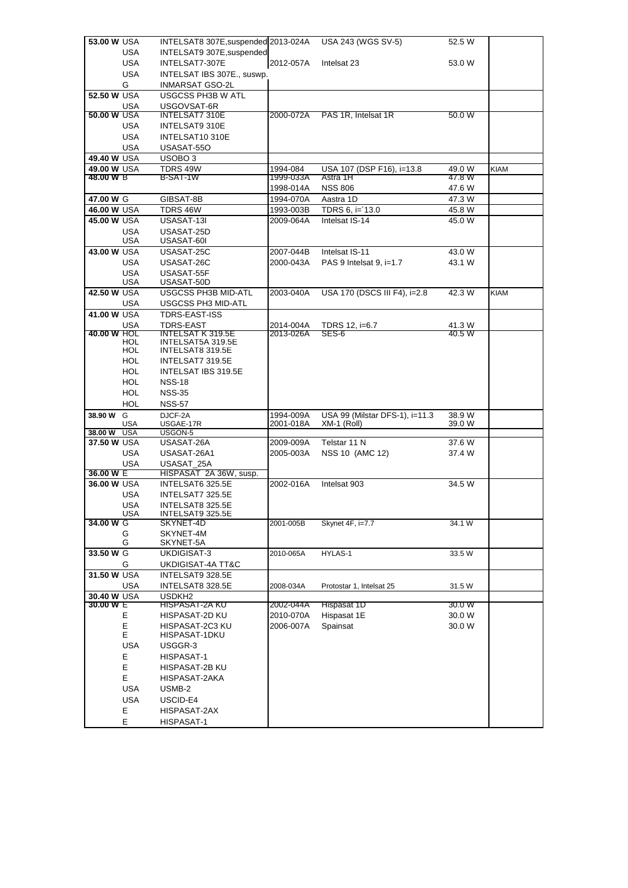|                          | 53.00 W USA              | INTELSAT8 307E, suspended 2013-024A          |           | USA 243 (WGS SV-5)             | 52.5 W |             |
|--------------------------|--------------------------|----------------------------------------------|-----------|--------------------------------|--------|-------------|
|                          | USA                      | INTELSAT9 307E, suspended                    |           |                                |        |             |
|                          | <b>USA</b>               | INTELSAT7-307E                               | 2012-057A | Intelsat 23                    | 53.0 W |             |
|                          | <b>USA</b>               | INTELSAT IBS 307E., suswp.                   |           |                                |        |             |
|                          | G                        | INMARSAT GSO-2L                              |           |                                |        |             |
| 52.50 W USA              |                          | <b>USGCSS PH3B W ATL</b>                     |           |                                |        |             |
|                          | USA                      | USGOVSAT-6R                                  |           |                                |        |             |
| 50.00 W USA              |                          | <b>INTELSAT7 310E</b>                        | 2000-072A | PAS 1R, Intelsat 1R            | 50.0 W |             |
|                          | USA                      | INTELSAT9 310E                               |           |                                |        |             |
|                          | <b>USA</b>               | INTELSAT10310E                               |           |                                |        |             |
|                          | <b>USA</b>               | USASAT-550                                   |           |                                |        |             |
| 49.40 W USA              |                          | USOBO <sub>3</sub>                           |           |                                |        |             |
| 49.00 W USA              |                          | TDRS 49W                                     | 1994-084  | USA 107 (DSP F16), i=13.8      | 49.0 W | <b>KIAM</b> |
| 48.00 W B                |                          | B-SAT-1W                                     | 1999-033A | Astra 1H                       | 47.8 W |             |
|                          |                          |                                              | 1998-014A | <b>NSS 806</b>                 | 47.6 W |             |
| 47.00 W G                |                          | GIBSAT-8B                                    | 1994-070A | Aastra 1D                      | 47.3 W |             |
| 46.00 W USA              |                          | TDRS 46W                                     | 1993-003B | TDRS 6, i='13.0                | 45.8 W |             |
| 45.00 W USA              |                          | USASAT-13I                                   | 2009-064A | Intelsat IS-14                 | 45.0 W |             |
|                          | <b>USA</b>               | USASAT-25D                                   |           |                                |        |             |
|                          | USA                      | USASAT-60I                                   |           |                                |        |             |
| 43.00 W USA              |                          | USASAT-25C                                   | 2007-044B | Intelsat IS-11                 | 43.0 W |             |
|                          | <b>USA</b>               | USASAT-26C                                   | 2000-043A | PAS 9 Intelsat 9, $i=1.7$      | 43.1 W |             |
|                          | <b>USA</b>               | USASAT-55F                                   |           |                                |        |             |
|                          | <b>USA</b>               | USASAT-50D                                   |           |                                |        |             |
| 42.50 W USA              |                          | <b>USGCSS PH3B MID-ATL</b>                   | 2003-040A | USA 170 (DSCS III F4), i=2.8   | 42.3 W | <b>KIAM</b> |
|                          | USA                      | USGCSS PH3 MID-ATL                           |           |                                |        |             |
| 41.00 W USA              |                          | <b>TDRS-EAST-ISS</b>                         |           |                                |        |             |
|                          | <b>USA</b>               | <b>TDRS-EAST</b>                             | 2014-004A | TDRS 12, i=6.7                 | 41.3 W |             |
| 40.00 W HOL              |                          | INTELSAT K 319.5E                            | 2013-026A | SES-6                          | 40.5 W |             |
|                          | <b>HOL</b><br><b>HUL</b> | INTELSAT5A 319.5E<br><b>INTELSA18 319.5E</b> |           |                                |        |             |
|                          | HOL                      | INTELSAT7 319.5E                             |           |                                |        |             |
|                          | HOL                      | INTELSAT IBS 319.5E                          |           |                                |        |             |
|                          | <b>HOL</b>               | <b>NSS-18</b>                                |           |                                |        |             |
|                          | <b>HOL</b>               | <b>NSS-35</b>                                |           |                                |        |             |
|                          | HOL                      | <b>NSS-57</b>                                |           |                                |        |             |
| 38.90 W G                |                          | DJCF-2A                                      | 1994-009A | USA 99 (Milstar DFS-1), i=11.3 | 38.9 W |             |
|                          | USA                      | USGAE-17R                                    | 2001-018A | XM-1 (Roll)                    | 39.0 W |             |
| 38.00 W                  | <b>USA</b>               | USGON-5                                      |           |                                |        |             |
| 37.50 W USA              |                          | USASAT-26A                                   | 2009-009A | Telstar 11 N                   | 37.6 W |             |
|                          | <b>USA</b>               |                                              |           |                                |        |             |
|                          |                          | USASAT-26A1                                  | 2005-003A | NSS 10 (AMC 12)                | 37.4 W |             |
|                          | <b>USA</b>               | USASAT 25A                                   |           |                                |        |             |
| 36.00 W E                |                          | HISPASAT 2A 36W, susp.                       |           |                                |        |             |
| 36.00 W USA              |                          | INTELSAT6 325.5E                             | 2002-016A | Intelsat 903                   | 34.5 W |             |
|                          | <b>USA</b>               | INTELSAT7 325.5E                             |           |                                |        |             |
|                          | <b>USA</b>               | INTELSAT8 325.5E                             |           |                                |        |             |
|                          | <b>USA</b>               | INTELSAT9 325.5E                             |           |                                |        |             |
| 34.00 W G                |                          | SKYNET-4D                                    | 2001-005B | Skynet 4F, i=7.7               | 34.1 W |             |
|                          | G                        | SKYNET-4M                                    |           |                                |        |             |
|                          | G                        | SKYNET-5A                                    |           |                                |        |             |
| 33.50 W G                |                          | UKDIGISAT-3                                  | 2010-065A | HYLAS-1                        | 33.5 W |             |
|                          | G                        | UKDIGISAT-4A TT&C                            |           |                                |        |             |
| 31.50 W USA              |                          | INTELSAT9 328.5E                             |           |                                |        |             |
|                          | USA                      | INTELSAT8 328.5E                             | 2008-034A | Protostar 1, Intelsat 25       | 31.5 W |             |
| 30.40 W USA<br>30.00 W E |                          | USDKH <sub>2</sub><br>HISPASAT-2A KU         | 2002-044A | Hispasat 1D                    | 30.0 W |             |
|                          | E                        | HISPASAT-2D KU                               | 2010-070A | Hispasat 1E                    | 30.0 W |             |
|                          | Е                        | HISPASAT-2C3 KU                              | 2006-007A | Spainsat                       | 30.0 W |             |
|                          | Е                        | HISPASAT-1DKU                                |           |                                |        |             |
|                          | USA                      | USGGR-3                                      |           |                                |        |             |
|                          | E                        | HISPASAT-1                                   |           |                                |        |             |
|                          | E                        | HISPASAT-2B KU                               |           |                                |        |             |
|                          | E                        | HISPASAT-2AKA                                |           |                                |        |             |
|                          | USA                      | USMB-2                                       |           |                                |        |             |
|                          | <b>USA</b>               | USCID-E4                                     |           |                                |        |             |
|                          | E                        | HISPASAT-2AX                                 |           |                                |        |             |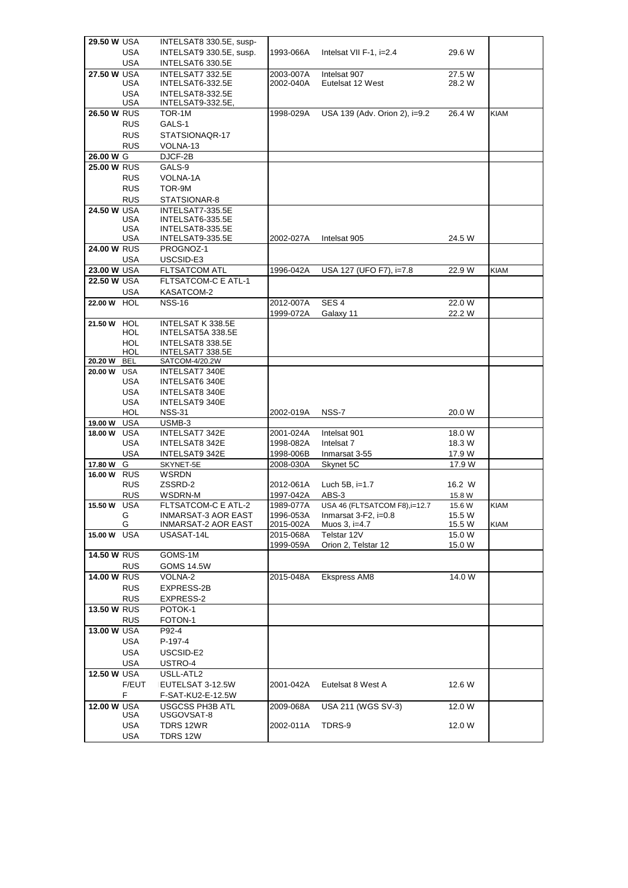| <b>29.50 W USA</b> |                   | INTELSAT8 330.5E, susp-                |                        |                               |                  |             |
|--------------------|-------------------|----------------------------------------|------------------------|-------------------------------|------------------|-------------|
|                    | <b>USA</b>        | INTELSAT9 330.5E, susp.                | 1993-066A              | Intelsat VII F-1, i=2.4       | 29.6 W           |             |
|                    | <b>USA</b>        | INTELSAT6 330.5E                       |                        |                               |                  |             |
| 27.50 W USA        |                   | INTELSAT7 332.5E                       | 2003-007A              | Intelsat 907                  | 27.5 W           |             |
|                    | USA               | INTELSAT6-332.5E                       | 2002-040A              | Eutelsat 12 West              | 28.2 W           |             |
|                    | <b>USA</b>        | INTELSAT8-332.5E                       |                        |                               |                  |             |
|                    | USA               | INTELSAT9-332.5E,                      |                        |                               |                  |             |
| <b>26.50 W RUS</b> |                   | TOR-1M                                 | 1998-029A              | USA 139 (Adv. Orion 2), i=9.2 | 26.4 W           | <b>KIAM</b> |
|                    | <b>RUS</b>        | GALS-1                                 |                        |                               |                  |             |
|                    | <b>RUS</b>        | STATSIONAQR-17                         |                        |                               |                  |             |
| 26.00 W G          | <b>RUS</b>        | VOLNA-13<br>DJCF-2B                    |                        |                               |                  |             |
| <b>25.00 W RUS</b> |                   | GALS-9                                 |                        |                               |                  |             |
|                    | <b>RUS</b>        | VOLNA-1A                               |                        |                               |                  |             |
|                    | <b>RUS</b>        | TOR-9M                                 |                        |                               |                  |             |
|                    | <b>RUS</b>        | STATSIONAR-8                           |                        |                               |                  |             |
| <b>24.50 W USA</b> |                   | INTELSAT7-335.5E                       |                        |                               |                  |             |
|                    | USA               | INTELSAT6-335.5E                       |                        |                               |                  |             |
|                    | <b>USA</b>        | INTELSAT8-335.5E                       |                        |                               |                  |             |
|                    | USA               | INTELSAT9-335.5E                       | 2002-027A              | Intelsat 905                  | 24.5 W           |             |
| <b>24.00 W RUS</b> |                   | PROGNOZ-1                              |                        |                               |                  |             |
|                    | USA               | USCSID-E3                              |                        |                               |                  |             |
| 23.00 W USA        |                   | <b>FLTSATCOM ATL</b>                   | 1996-042A              | USA 127 (UFO F7), i=7.8       | 22.9 W           | <b>KIAM</b> |
| 22.50 W USA        |                   | FLTSATCOM-C E ATL-1                    |                        |                               |                  |             |
|                    | USA               | KASATCOM-2                             |                        |                               |                  |             |
| 22.00 W HOL        |                   | <b>NSS-16</b>                          | 2012-007A              | SES <sub>4</sub>              | 22.0 W           |             |
|                    |                   |                                        | 1999-072A              | Galaxy 11                     | 22.2 W           |             |
| 21.50 W HOL        | HOL               | INTELSAT K 338.5E<br>INTELSAT5A 338.5E |                        |                               |                  |             |
|                    | HOL               | INTELSAT8 338.5E                       |                        |                               |                  |             |
|                    | HOL               | INTELSAT7 338.5E                       |                        |                               |                  |             |
| 20.20 W            | <b>BEL</b>        | SATCOM-4/20.2W                         |                        |                               |                  |             |
| 20.00 W USA        |                   | INTELSAT7 340E                         |                        |                               |                  |             |
|                    | USA               | <b>INTELSAT6 340E</b>                  |                        |                               |                  |             |
|                    | USA               | INTELSAT8 340E                         |                        |                               |                  |             |
|                    | <b>USA</b>        | INTELSAT9 340E                         |                        |                               |                  |             |
|                    | HOL               | <b>NSS-31</b>                          | 2002-019A              | NSS-7                         | 20.0 W           |             |
| 19.00 W            | <b>USA</b>        | USMB-3                                 |                        |                               |                  |             |
| 18.00 W            | <b>USA</b><br>USA | INTELSAT7 342E<br>INTELSAT8 342E       | 2001-024A<br>1998-082A | Intelsat 901<br>Intelsat 7    | 18.0 W<br>18.3 W |             |
|                    | USA               | INTELSAT9 342E                         | 1998-006B              | Inmarsat 3-55                 | 17.9 W           |             |
| 17.80 W            | G                 | SKYNET-5E                              | 2008-030A              | Skynet 5C                     | 17.9 W           |             |
| 16.00 W RUS        |                   | <b>WSRDN</b>                           |                        |                               |                  |             |
|                    | <b>RUS</b>        | ZSSRD-2                                | 2012-061A              | Luch 5B, $i=1.7$              | 16.2 W           |             |
|                    | <b>RUS</b>        | WSDRN-M                                | 1997-042A              | ABS-3                         | 15.8 W           |             |
| 15.50 W USA        |                   | FLTSATCOM-C E ATL-2                    | 1989-077A              | USA 46 (FLTSATCOM F8), i=12.7 | 15.6 W           | <b>KIAM</b> |
|                    | G                 | <b>INMARSAT-3 AOR EAST</b>             | 1996-053A              | Inmarsat 3-F2, i=0.8          | 15.5 W           |             |
|                    | G                 | INMARSAT-2 AOR EAST                    | 2015-002A              | Muos 3, i=4.7                 | 15.5 W           | <b>KIAM</b> |
| 15.00 W            | <b>USA</b>        | USASAT-14L                             | 2015-068A              | Telstar 12V                   | 15.0 W           |             |
|                    |                   |                                        | 1999-059A              | Orion 2, Telstar 12           | 15.0 W           |             |
| <b>14.50 W RUS</b> | <b>RUS</b>        | GOMS-1M<br><b>GOMS 14.5W</b>           |                        |                               |                  |             |
| <b>14.00 W RUS</b> |                   | VOLNA-2                                | 2015-048A              | Ekspress AM8                  | 14.0 W           |             |
|                    | <b>RUS</b>        | EXPRESS-2B                             |                        |                               |                  |             |
|                    | <b>RUS</b>        | EXPRESS-2                              |                        |                               |                  |             |
| 13.50 W RUS        |                   | POTOK-1                                |                        |                               |                  |             |
|                    | <b>RUS</b>        | FOTON-1                                |                        |                               |                  |             |
| 13.00 W USA        |                   | P92-4                                  |                        |                               |                  |             |
|                    | <b>USA</b>        | P-197-4                                |                        |                               |                  |             |
|                    | <b>USA</b>        | USCSID-E2                              |                        |                               |                  |             |
|                    | <b>USA</b>        | USTRO-4                                |                        |                               |                  |             |
| 12.50 W USA        |                   | USLL-ATL2                              |                        |                               |                  |             |
|                    | F/EUT             | EUTELSAT 3-12.5W                       | 2001-042A              | Eutelsat 8 West A             | 12.6 W           |             |
|                    | F                 | F-SAT-KU2-E-12.5W                      |                        |                               |                  |             |
| 12.00 W USA        |                   | <b>USGCSS PH3B ATL</b>                 | 2009-068A              | USA 211 (WGS SV-3)            | 12.0 W           |             |
|                    | USA               | USGOVSAT-8                             |                        |                               |                  |             |
|                    | <b>USA</b>        | TDRS 12WR                              | 2002-011A              | TDRS-9                        | 12.0 W           |             |
|                    | USA               | TDRS 12W                               |                        |                               |                  |             |